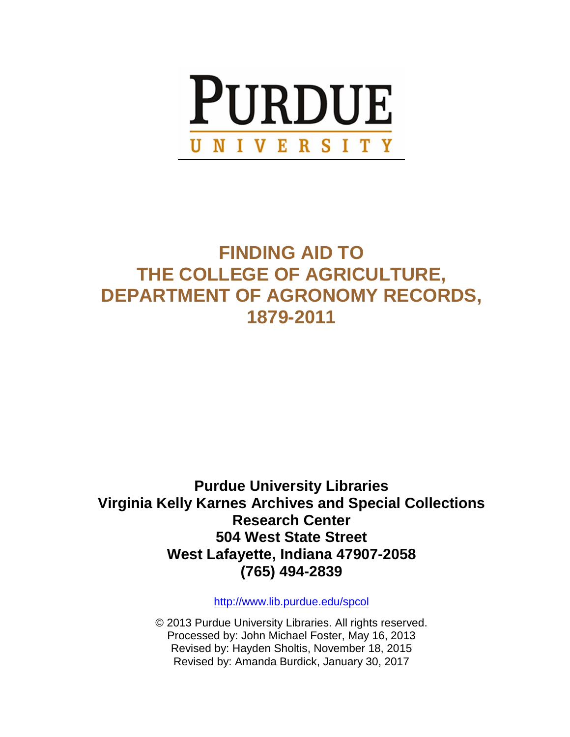

# **FINDING AID TO THE COLLEGE OF AGRICULTURE, DEPARTMENT OF AGRONOMY RECORDS, 1879-2011**

**Purdue University Libraries Virginia Kelly Karnes Archives and Special Collections Research Center 504 West State Street West Lafayette, Indiana 47907-2058 (765) 494-2839**

<http://www.lib.purdue.edu/spcol>

© 2013 Purdue University Libraries. All rights reserved. Processed by: John Michael Foster, May 16, 2013 Revised by: Hayden Sholtis, November 18, 2015 Revised by: Amanda Burdick, January 30, 2017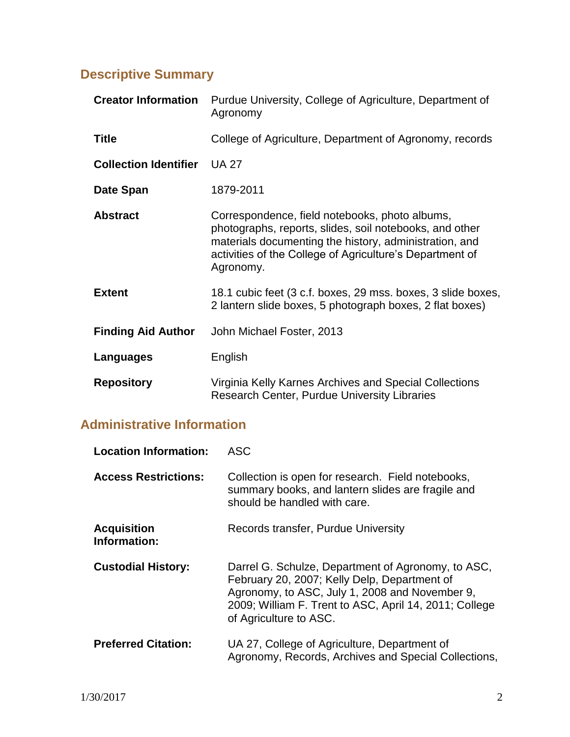# **Descriptive Summary**

| <b>Creator Information</b>   | Purdue University, College of Agriculture, Department of<br>Agronomy                                                                                                                                                                         |
|------------------------------|----------------------------------------------------------------------------------------------------------------------------------------------------------------------------------------------------------------------------------------------|
| <b>Title</b>                 | College of Agriculture, Department of Agronomy, records                                                                                                                                                                                      |
| <b>Collection Identifier</b> | <b>UA 27</b>                                                                                                                                                                                                                                 |
| Date Span                    | 1879-2011                                                                                                                                                                                                                                    |
| <b>Abstract</b>              | Correspondence, field notebooks, photo albums,<br>photographs, reports, slides, soil notebooks, and other<br>materials documenting the history, administration, and<br>activities of the College of Agriculture's Department of<br>Agronomy. |
| <b>Extent</b>                | 18.1 cubic feet (3 c.f. boxes, 29 mss. boxes, 3 slide boxes,<br>2 lantern slide boxes, 5 photograph boxes, 2 flat boxes)                                                                                                                     |
| <b>Finding Aid Author</b>    | John Michael Foster, 2013                                                                                                                                                                                                                    |
| Languages                    | English                                                                                                                                                                                                                                      |
| <b>Repository</b>            | Virginia Kelly Karnes Archives and Special Collections<br><b>Research Center, Purdue University Libraries</b>                                                                                                                                |

# **Administrative Information**

| <b>Location Information:</b>       | ASC                                                                                                                                                                                                                                      |
|------------------------------------|------------------------------------------------------------------------------------------------------------------------------------------------------------------------------------------------------------------------------------------|
| <b>Access Restrictions:</b>        | Collection is open for research. Field notebooks,<br>summary books, and lantern slides are fragile and<br>should be handled with care.                                                                                                   |
| <b>Acquisition</b><br>Information: | Records transfer, Purdue University                                                                                                                                                                                                      |
| <b>Custodial History:</b>          | Darrel G. Schulze, Department of Agronomy, to ASC,<br>February 20, 2007; Kelly Delp, Department of<br>Agronomy, to ASC, July 1, 2008 and November 9,<br>2009; William F. Trent to ASC, April 14, 2011; College<br>of Agriculture to ASC. |
| <b>Preferred Citation:</b>         | UA 27, College of Agriculture, Department of<br>Agronomy, Records, Archives and Special Collections,                                                                                                                                     |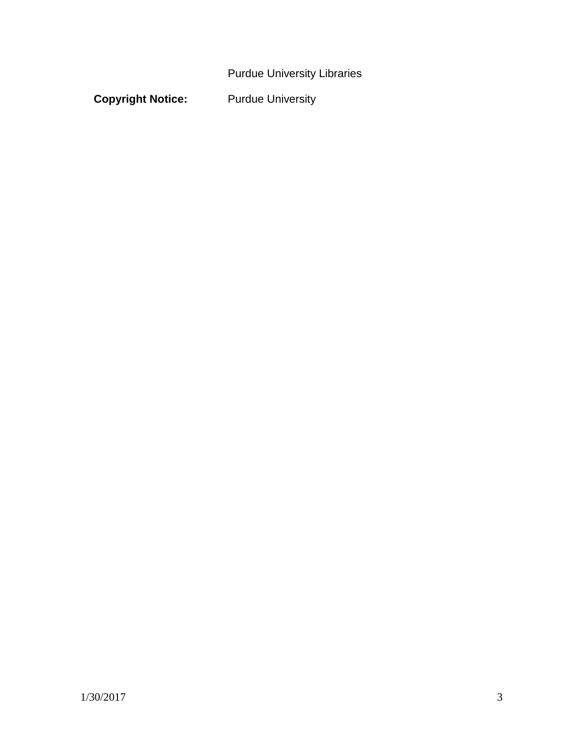Purdue University Libraries

**Copyright Notice:** Purdue University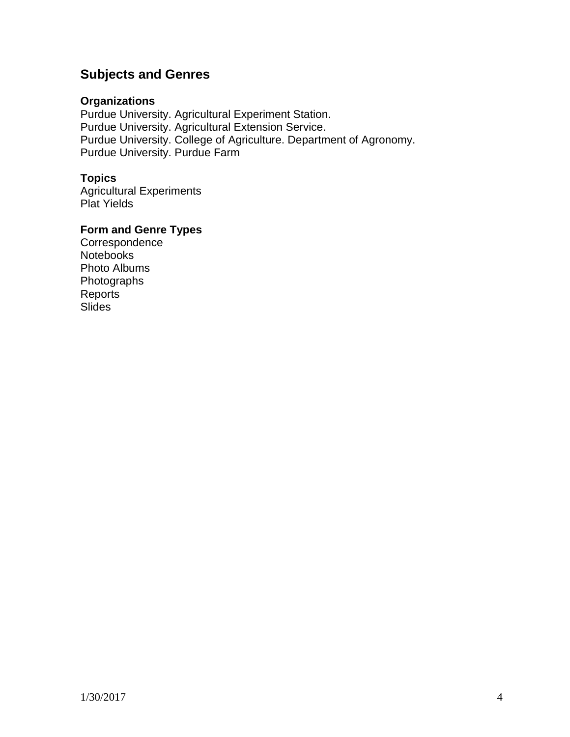# **Subjects and Genres**

#### **Organizations**

Purdue University. Agricultural Experiment Station. Purdue University. Agricultural Extension Service. Purdue University. College of Agriculture. Department of Agronomy. Purdue University. Purdue Farm

## **Topics**

Agricultural Experiments Plat Yields

## **Form and Genre Types**

Correspondence **Notebooks** Photo Albums Photographs Reports **Slides**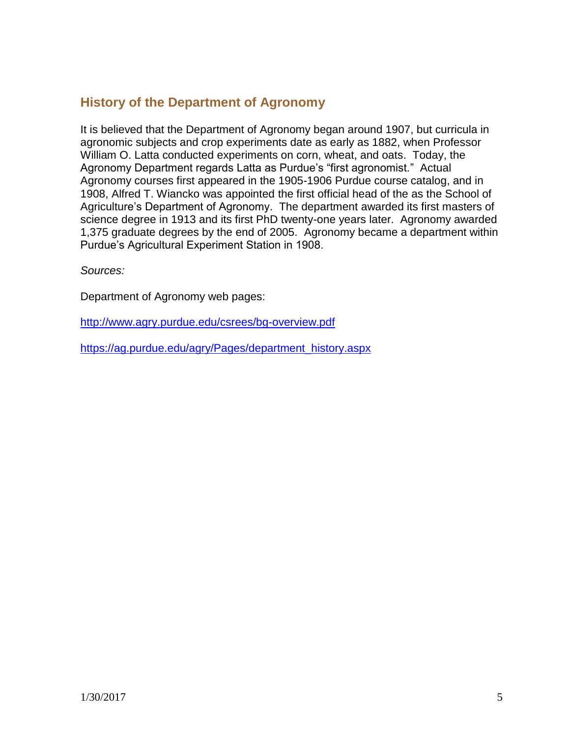# **History of the Department of Agronomy**

It is believed that the Department of Agronomy began around 1907, but curricula in agronomic subjects and crop experiments date as early as 1882, when Professor William O. Latta conducted experiments on corn, wheat, and oats. Today, the Agronomy Department regards Latta as Purdue's "first agronomist." Actual Agronomy courses first appeared in the 1905-1906 Purdue course catalog, and in 1908, Alfred T. Wiancko was appointed the first official head of the as the School of Agriculture's Department of Agronomy. The department awarded its first masters of science degree in 1913 and its first PhD twenty-one years later. Agronomy awarded 1,375 graduate degrees by the end of 2005. Agronomy became a department within Purdue's Agricultural Experiment Station in 1908.

*Sources:*

Department of Agronomy web pages:

<http://www.agry.purdue.edu/csrees/bg-overview.pdf>

[https://ag.purdue.edu/agry/Pages/department\\_history.aspx](https://ag.purdue.edu/agry/Pages/department_history.aspx)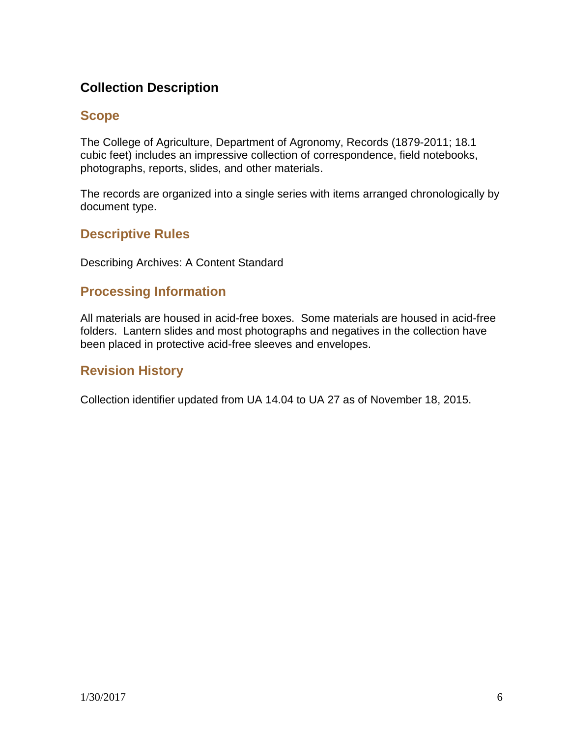# **Collection Description**

# **Scope**

The College of Agriculture, Department of Agronomy, Records (1879-2011; 18.1 cubic feet) includes an impressive collection of correspondence, field notebooks, photographs, reports, slides, and other materials.

The records are organized into a single series with items arranged chronologically by document type.

# **Descriptive Rules**

Describing Archives: A Content Standard

# **Processing Information**

All materials are housed in acid-free boxes. Some materials are housed in acid-free folders. Lantern slides and most photographs and negatives in the collection have been placed in protective acid-free sleeves and envelopes.

# **Revision History**

Collection identifier updated from UA 14.04 to UA 27 as of November 18, 2015.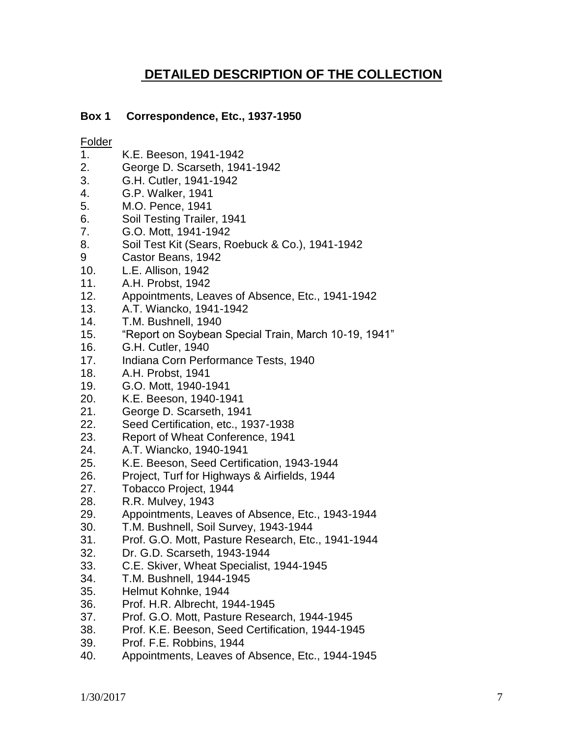# **DETAILED DESCRIPTION OF THE COLLECTION**

### **Box 1 Correspondence, Etc., 1937-1950**

- 1. K.E. Beeson, 1941-1942
- 2. George D. Scarseth, 1941-1942
- 3. G.H. Cutler, 1941-1942
- 4. G.P. Walker, 1941
- 5. M.O. Pence, 1941
- 6. Soil Testing Trailer, 1941
- 7. G.O. Mott, 1941-1942
- 8. Soil Test Kit (Sears, Roebuck & Co.), 1941-1942
- 9 Castor Beans, 1942
- 10. L.E. Allison, 1942
- 11. A.H. Probst, 1942
- 12. Appointments, Leaves of Absence, Etc., 1941-1942
- 13. A.T. Wiancko, 1941-1942
- 14. T.M. Bushnell, 1940
- 15. "Report on Soybean Special Train, March 10-19, 1941"
- 16. G.H. Cutler, 1940
- 17. Indiana Corn Performance Tests, 1940
- 18. A.H. Probst, 1941
- 19. G.O. Mott, 1940-1941
- 20. K.E. Beeson, 1940-1941
- 21. George D. Scarseth, 1941
- 22. Seed Certification, etc., 1937-1938
- 23. Report of Wheat Conference, 1941
- 24. A.T. Wiancko, 1940-1941
- 25. K.E. Beeson, Seed Certification, 1943-1944
- 26. Project, Turf for Highways & Airfields, 1944
- 27. Tobacco Project, 1944
- 28. R.R. Mulvey, 1943
- 29. Appointments, Leaves of Absence, Etc., 1943-1944
- 30. T.M. Bushnell, Soil Survey, 1943-1944
- 31. Prof. G.O. Mott, Pasture Research, Etc., 1941-1944
- 32. Dr. G.D. Scarseth, 1943-1944
- 33. C.E. Skiver, Wheat Specialist, 1944-1945
- 34. T.M. Bushnell, 1944-1945
- 35. Helmut Kohnke, 1944
- 36. Prof. H.R. Albrecht, 1944-1945
- 37. Prof. G.O. Mott, Pasture Research, 1944-1945
- 38. Prof. K.E. Beeson, Seed Certification, 1944-1945
- 39. Prof. F.E. Robbins, 1944
- 40. Appointments, Leaves of Absence, Etc., 1944-1945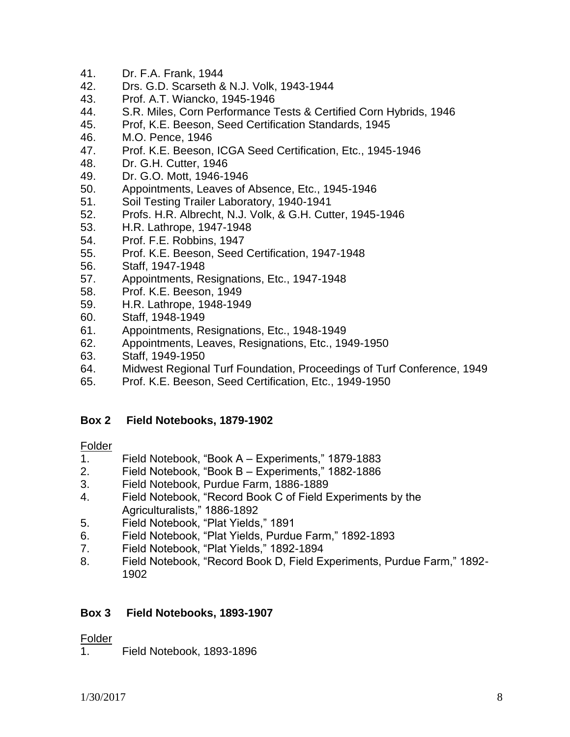- 41. Dr. F.A. Frank, 1944
- 42. Drs. G.D. Scarseth & N.J. Volk, 1943-1944
- 43. Prof. A.T. Wiancko, 1945-1946
- 44. S.R. Miles, Corn Performance Tests & Certified Corn Hybrids, 1946
- 45. Prof, K.E. Beeson, Seed Certification Standards, 1945
- 46. M.O. Pence, 1946
- 47. Prof. K.E. Beeson, ICGA Seed Certification, Etc., 1945-1946
- 48. Dr. G.H. Cutter, 1946
- 49. Dr. G.O. Mott, 1946-1946
- 50. Appointments, Leaves of Absence, Etc., 1945-1946
- 51. Soil Testing Trailer Laboratory, 1940-1941
- 52. Profs. H.R. Albrecht, N.J. Volk, & G.H. Cutter, 1945-1946
- 53. H.R. Lathrope, 1947-1948
- 54. Prof. F.E. Robbins, 1947
- 55. Prof. K.E. Beeson, Seed Certification, 1947-1948
- 56. Staff, 1947-1948
- 57. Appointments, Resignations, Etc., 1947-1948
- 58. Prof. K.E. Beeson, 1949
- 59. H.R. Lathrope, 1948-1949
- 60. Staff, 1948-1949
- 61. Appointments, Resignations, Etc., 1948-1949
- 62. Appointments, Leaves, Resignations, Etc., 1949-1950
- 63. Staff, 1949-1950
- 64. Midwest Regional Turf Foundation, Proceedings of Turf Conference, 1949
- 65. Prof. K.E. Beeson, Seed Certification, Etc., 1949-1950

#### **Box 2 Field Notebooks, 1879-1902**

#### Folder

- 1. Field Notebook, "Book A Experiments," 1879-1883
- 2. Field Notebook, "Book B Experiments," 1882-1886
- 3. Field Notebook, Purdue Farm, 1886-1889
- 4. Field Notebook, "Record Book C of Field Experiments by the Agriculturalists," 1886-1892
- 5. Field Notebook, "Plat Yields," 1891
- 6. Field Notebook, "Plat Yields, Purdue Farm," 1892-1893
- 7. Field Notebook, "Plat Yields," 1892-1894
- 8. Field Notebook, "Record Book D, Field Experiments, Purdue Farm," 1892- 1902

#### **Box 3 Field Notebooks, 1893-1907**

#### Folder

1. Field Notebook, 1893-1896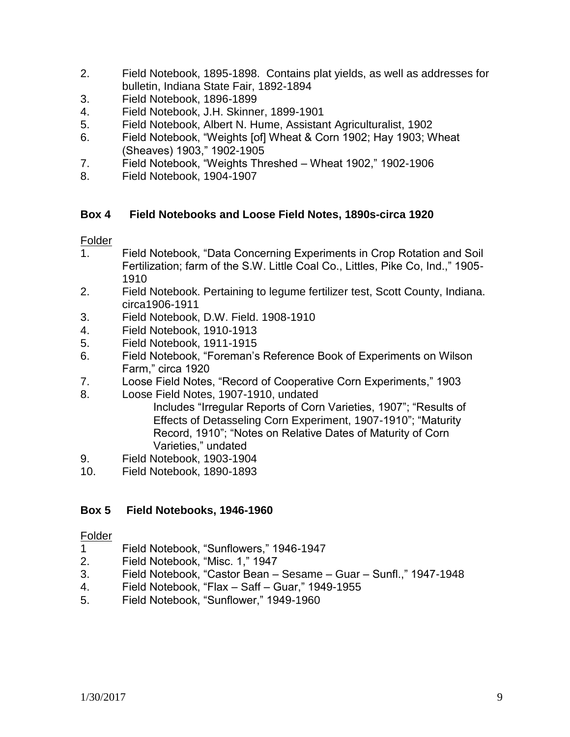- 2. Field Notebook, 1895-1898. Contains plat yields, as well as addresses for bulletin, Indiana State Fair, 1892-1894
- 3. Field Notebook, 1896-1899
- 4. Field Notebook, J.H. Skinner, 1899-1901
- 5. Field Notebook, Albert N. Hume, Assistant Agriculturalist, 1902
- 6. Field Notebook, "Weights [of] Wheat & Corn 1902; Hay 1903; Wheat (Sheaves) 1903," 1902-1905
- 7. Field Notebook, "Weights Threshed Wheat 1902," 1902-1906
- 8. Field Notebook, 1904-1907

## **Box 4 Field Notebooks and Loose Field Notes, 1890s-circa 1920**

#### **Folder**

- 1. Field Notebook, "Data Concerning Experiments in Crop Rotation and Soil Fertilization; farm of the S.W. Little Coal Co., Littles, Pike Co, Ind.," 1905- 1910
- 2. Field Notebook. Pertaining to legume fertilizer test, Scott County, Indiana. circa1906-1911
- 3. Field Notebook, D.W. Field. 1908-1910
- 4. Field Notebook, 1910-1913
- 5. Field Notebook, 1911-1915
- 6. Field Notebook, "Foreman's Reference Book of Experiments on Wilson Farm," circa 1920
- 7. Loose Field Notes, "Record of Cooperative Corn Experiments," 1903
- 8. Loose Field Notes, 1907-1910, undated Includes "Irregular Reports of Corn Varieties, 1907"; "Results of Effects of Detasseling Corn Experiment, 1907-1910"; "Maturity Record, 1910"; "Notes on Relative Dates of Maturity of Corn Varieties," undated
- 9. Field Notebook, 1903-1904
- 10. Field Notebook, 1890-1893

# **Box 5 Field Notebooks, 1946-1960**

- 1 Field Notebook, "Sunflowers," 1946-1947
- 2. Field Notebook, "Misc. 1," 1947
- 3. Field Notebook, "Castor Bean Sesame Guar Sunfl.," 1947-1948
- 4. Field Notebook, "Flax Saff Guar," 1949-1955
- 5. Field Notebook, "Sunflower," 1949-1960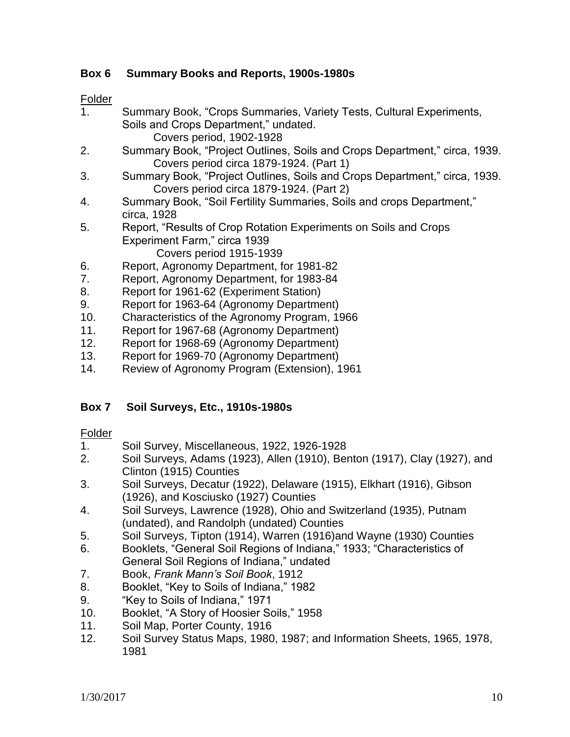# **Box 6 Summary Books and Reports, 1900s-1980s**

#### Folder

- 1. Summary Book, "Crops Summaries, Variety Tests, Cultural Experiments, Soils and Crops Department," undated. Covers period, 1902-1928
- 2. Summary Book, "Project Outlines, Soils and Crops Department," circa, 1939. Covers period circa 1879-1924. (Part 1)
- 3. Summary Book, "Project Outlines, Soils and Crops Department," circa, 1939. Covers period circa 1879-1924. (Part 2)
- 4. Summary Book, "Soil Fertility Summaries, Soils and crops Department," circa, 1928
- 5. Report, "Results of Crop Rotation Experiments on Soils and Crops Experiment Farm," circa 1939 Covers period 1915-1939
- 6. Report, Agronomy Department, for 1981-82
- 7. Report, Agronomy Department, for 1983-84
- 8. Report for 1961-62 (Experiment Station)
- 9. Report for 1963-64 (Agronomy Department)
- 10. Characteristics of the Agronomy Program, 1966
- 11. Report for 1967-68 (Agronomy Department)
- 12. Report for 1968-69 (Agronomy Department)
- 13. Report for 1969-70 (Agronomy Department)
- 14. Review of Agronomy Program (Extension), 1961

# **Box 7 Soil Surveys, Etc., 1910s-1980s**

- 1. Soil Survey, Miscellaneous, 1922, 1926-1928
- 2. Soil Surveys, Adams (1923), Allen (1910), Benton (1917), Clay (1927), and Clinton (1915) Counties
- 3. Soil Surveys, Decatur (1922), Delaware (1915), Elkhart (1916), Gibson (1926), and Kosciusko (1927) Counties
- 4. Soil Surveys, Lawrence (1928), Ohio and Switzerland (1935), Putnam (undated), and Randolph (undated) Counties
- 5. Soil Surveys, Tipton (1914), Warren (1916)and Wayne (1930) Counties
- 6. Booklets, "General Soil Regions of Indiana," 1933; "Characteristics of General Soil Regions of Indiana," undated
- 7. Book, *Frank Mann's Soil Book*, 1912
- 8. Booklet, "Key to Soils of Indiana," 1982
- 9. "Key to Soils of Indiana," 1971
- 10. Booklet, "A Story of Hoosier Soils," 1958
- 11. Soil Map, Porter County, 1916
- 12. Soil Survey Status Maps, 1980, 1987; and Information Sheets, 1965, 1978, 1981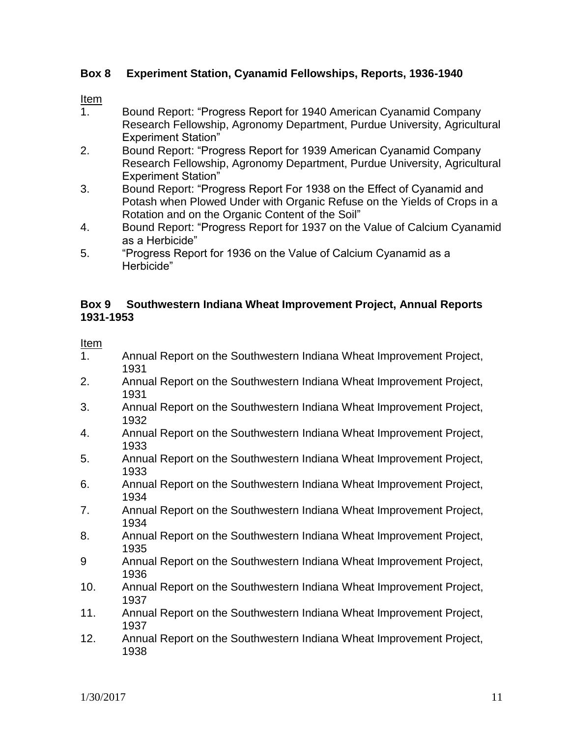## **Box 8 Experiment Station, Cyanamid Fellowships, Reports, 1936-1940**

#### Item

- 1. Bound Report: "Progress Report for 1940 American Cyanamid Company Research Fellowship, Agronomy Department, Purdue University, Agricultural Experiment Station"
- 2. Bound Report: "Progress Report for 1939 American Cyanamid Company Research Fellowship, Agronomy Department, Purdue University, Agricultural Experiment Station"
- 3. Bound Report: "Progress Report For 1938 on the Effect of Cyanamid and Potash when Plowed Under with Organic Refuse on the Yields of Crops in a Rotation and on the Organic Content of the Soil"
- 4. Bound Report: "Progress Report for 1937 on the Value of Calcium Cyanamid as a Herbicide"
- 5. "Progress Report for 1936 on the Value of Calcium Cyanamid as a Herbicide"

#### **Box 9 Southwestern Indiana Wheat Improvement Project, Annual Reports 1931-1953**

#### Item

- 1. Annual Report on the Southwestern Indiana Wheat Improvement Project, 1931
- 2. Annual Report on the Southwestern Indiana Wheat Improvement Project, 1931
- 3. Annual Report on the Southwestern Indiana Wheat Improvement Project, 1932
- 4. Annual Report on the Southwestern Indiana Wheat Improvement Project, 1933
- 5. Annual Report on the Southwestern Indiana Wheat Improvement Project, 1933
- 6. Annual Report on the Southwestern Indiana Wheat Improvement Project, 1934
- 7. Annual Report on the Southwestern Indiana Wheat Improvement Project, 1934
- 8. Annual Report on the Southwestern Indiana Wheat Improvement Project, 1935
- 9 Annual Report on the Southwestern Indiana Wheat Improvement Project, 1936
- 10. Annual Report on the Southwestern Indiana Wheat Improvement Project, 1937
- 11. Annual Report on the Southwestern Indiana Wheat Improvement Project, 1937
- 12. Annual Report on the Southwestern Indiana Wheat Improvement Project, 1938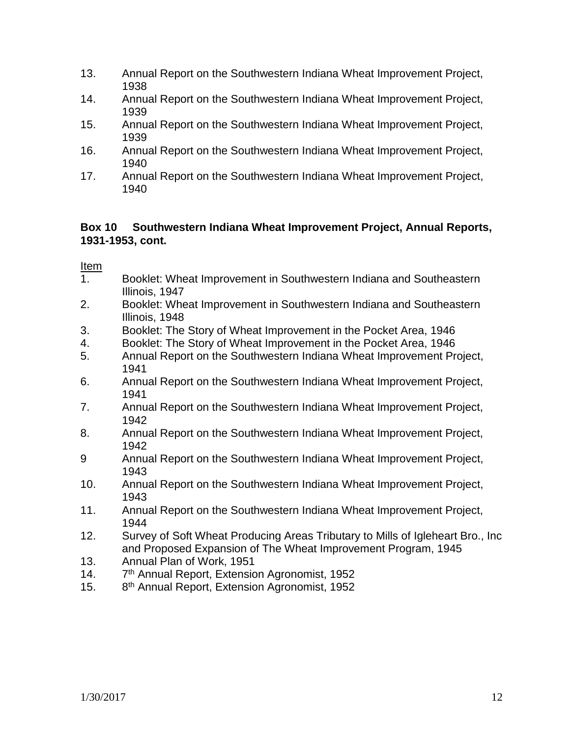- 13. Annual Report on the Southwestern Indiana Wheat Improvement Project, 1938
- 14. Annual Report on the Southwestern Indiana Wheat Improvement Project, 1939
- 15. Annual Report on the Southwestern Indiana Wheat Improvement Project, 1939
- 16. Annual Report on the Southwestern Indiana Wheat Improvement Project, 1940
- 17. Annual Report on the Southwestern Indiana Wheat Improvement Project, 1940

## **Box 10 Southwestern Indiana Wheat Improvement Project, Annual Reports, 1931-1953, cont.**

Item

- 1. Booklet: Wheat Improvement in Southwestern Indiana and Southeastern Illinois, 1947
- 2. Booklet: Wheat Improvement in Southwestern Indiana and Southeastern Illinois, 1948
- 3. Booklet: The Story of Wheat Improvement in the Pocket Area, 1946
- 4. Booklet: The Story of Wheat Improvement in the Pocket Area, 1946
- 5. Annual Report on the Southwestern Indiana Wheat Improvement Project, 1941
- 6. Annual Report on the Southwestern Indiana Wheat Improvement Project, 1941
- 7. Annual Report on the Southwestern Indiana Wheat Improvement Project, 1942
- 8. Annual Report on the Southwestern Indiana Wheat Improvement Project, 1942
- 9 Annual Report on the Southwestern Indiana Wheat Improvement Project, 1943
- 10. Annual Report on the Southwestern Indiana Wheat Improvement Project, 1943
- 11. Annual Report on the Southwestern Indiana Wheat Improvement Project, 1944
- 12. Survey of Soft Wheat Producing Areas Tributary to Mills of Igleheart Bro., Inc and Proposed Expansion of The Wheat Improvement Program, 1945
- 13. Annual Plan of Work, 1951
- $14.$ 7<sup>th</sup> Annual Report, Extension Agronomist, 1952
- $15.$ 8<sup>th</sup> Annual Report, Extension Agronomist, 1952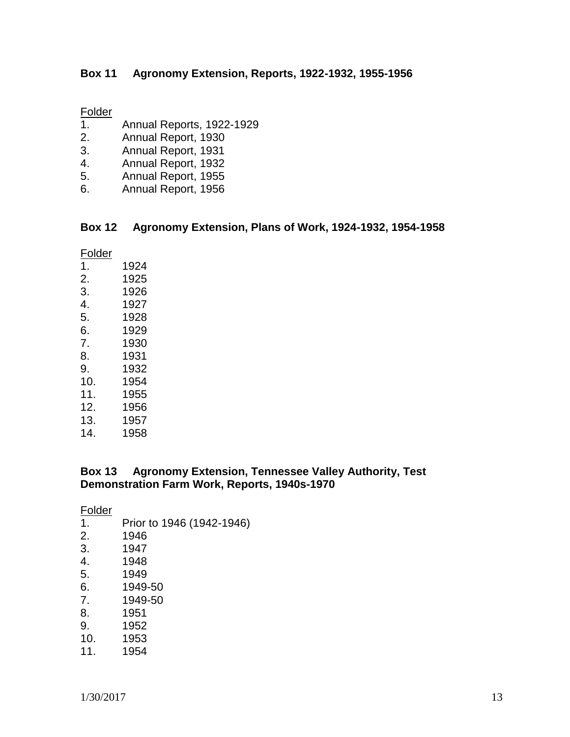#### **Box 11 Agronomy Extension, Reports, 1922-1932, 1955-1956**

#### **Folder**

- 1. Annual Reports, 1922-1929
- 2. Annual Report, 1930
- 3. Annual Report, 1931
- 4. Annual Report, 1932
- 5. Annual Report, 1955
- 6. Annual Report, 1956

# **Box 12 Agronomy Extension, Plans of Work, 1924-1932, 1954-1958**

| Folder |      |
|--------|------|
| 1.     | 1924 |
| 2.     | 1925 |
| 3.     | 1926 |
| 4.     | 1927 |
| 5.     | 1928 |
| 6.     | 1929 |
| 7.     | 1930 |
| 8.     | 1931 |
| 9.     | 1932 |
| 10.    | 1954 |
| 11.    | 1955 |
| 12.    | 1956 |
| 13.    | 1957 |
| 14.    | 1958 |
|        |      |

#### **Box 13 Agronomy Extension, Tennessee Valley Authority, Test Demonstration Farm Work, Reports, 1940s-1970**

Folder

1. Prior to 1946 (1942-1946) 2. 1946 3. 1947 4. 1948 1949 6. 1949-50 7. 1949-50 8. 1951 9. 1952 10. 1953 11. 1954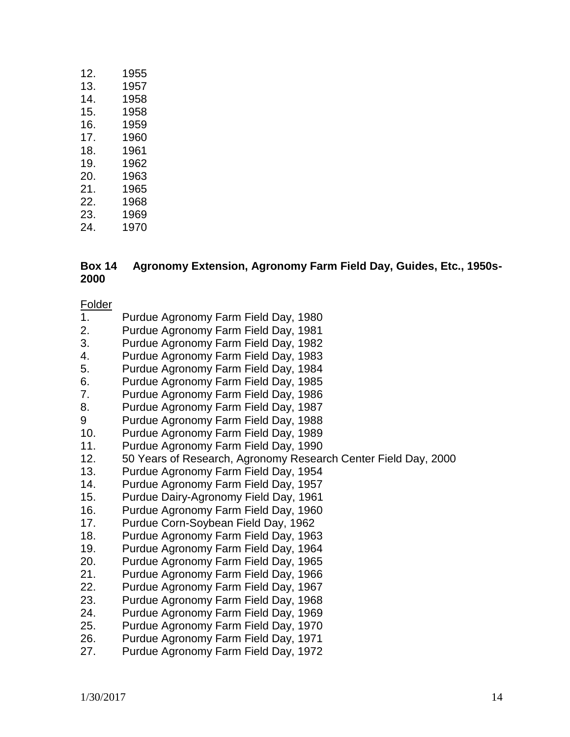| 12. | 1955 |
|-----|------|
| 13. | 1957 |
| 14. | 1958 |
| 15. | 1958 |
| 16. | 1959 |
| 17. | 1960 |
| 18. | 1961 |
| 19. | 1962 |
| 20. | 1963 |
| 21. | 1965 |
| 22. | 1968 |
| 23. | 1969 |
| 24. | 1970 |

#### **Box 14 Agronomy Extension, Agronomy Farm Field Day, Guides, Etc., 1950s-2000**

- 1. Purdue Agronomy Farm Field Day, 1980
- 2. Purdue Agronomy Farm Field Day, 1981
- 3. Purdue Agronomy Farm Field Day, 1982
- 4. Purdue Agronomy Farm Field Day, 1983
- 5. Purdue Agronomy Farm Field Day, 1984
- 6. Purdue Agronomy Farm Field Day, 1985
- 7. Purdue Agronomy Farm Field Day, 1986
- 8. Purdue Agronomy Farm Field Day, 1987
- 9 Purdue Agronomy Farm Field Day, 1988
- 10. Purdue Agronomy Farm Field Day, 1989
- 11. Purdue Agronomy Farm Field Day, 1990
- 12. 50 Years of Research, Agronomy Research Center Field Day, 2000
- 13. Purdue Agronomy Farm Field Day, 1954
- 14. Purdue Agronomy Farm Field Day, 1957
- 15. Purdue Dairy-Agronomy Field Day, 1961
- 16. Purdue Agronomy Farm Field Day, 1960
- 17. Purdue Corn-Soybean Field Day, 1962
- 18. Purdue Agronomy Farm Field Day, 1963
- 19. Purdue Agronomy Farm Field Day, 1964
- 20. Purdue Agronomy Farm Field Day, 1965
- 21. Purdue Agronomy Farm Field Day, 1966
- 22. Purdue Agronomy Farm Field Day, 1967
- 23. Purdue Agronomy Farm Field Day, 1968
- 24. Purdue Agronomy Farm Field Day, 1969
- 25. Purdue Agronomy Farm Field Day, 1970
- 26. Purdue Agronomy Farm Field Day, 1971
- 27. Purdue Agronomy Farm Field Day, 1972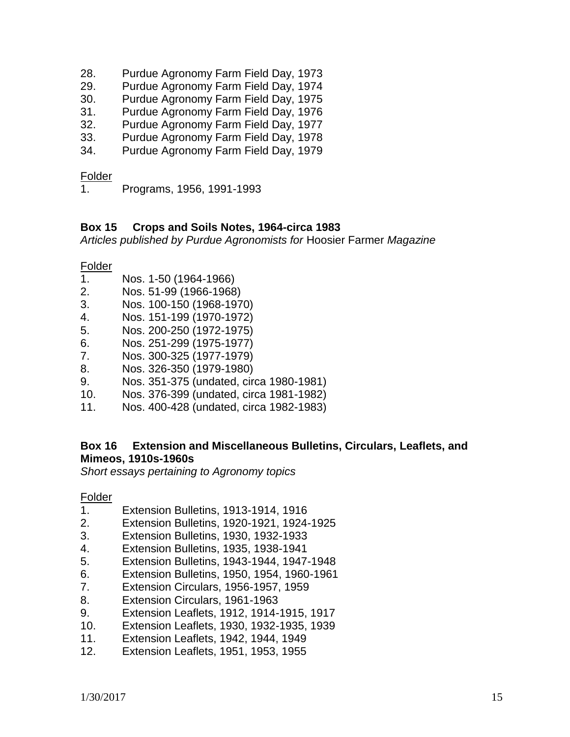- 28. Purdue Agronomy Farm Field Day, 1973
- 29. Purdue Agronomy Farm Field Day, 1974
- 30. Purdue Agronomy Farm Field Day, 1975
- 31. Purdue Agronomy Farm Field Day, 1976
- 32. Purdue Agronomy Farm Field Day, 1977
- 33. Purdue Agronomy Farm Field Day, 1978
- 34. Purdue Agronomy Farm Field Day, 1979

#### Folder

1. Programs, 1956, 1991-1993

#### **Box 15 Crops and Soils Notes, 1964-circa 1983**

*Articles published by Purdue Agronomists for* Hoosier Farmer *Magazine*

Folder

- 1. Nos. 1-50 (1964-1966)
- 2. Nos. 51-99 (1966-1968)
- 3. Nos. 100-150 (1968-1970)
- 4. Nos. 151-199 (1970-1972)
- 5. Nos. 200-250 (1972-1975)
- 6. Nos. 251-299 (1975-1977)
- 7. Nos. 300-325 (1977-1979)
- 8. Nos. 326-350 (1979-1980)
- 9. Nos. 351-375 (undated, circa 1980-1981)
- 10. Nos. 376-399 (undated, circa 1981-1982)
- 11. Nos. 400-428 (undated, circa 1982-1983)

## **Box 16 Extension and Miscellaneous Bulletins, Circulars, Leaflets, and Mimeos, 1910s-1960s**

*Short essays pertaining to Agronomy topics*

- 1. Extension Bulletins, 1913-1914, 1916
- 2. Extension Bulletins, 1920-1921, 1924-1925
- 3. Extension Bulletins, 1930, 1932-1933
- 4. Extension Bulletins, 1935, 1938-1941
- 5. Extension Bulletins, 1943-1944, 1947-1948
- 6. Extension Bulletins, 1950, 1954, 1960-1961
- 7. Extension Circulars, 1956-1957, 1959
- 8. Extension Circulars, 1961-1963
- 9. Extension Leaflets, 1912, 1914-1915, 1917
- 10. Extension Leaflets, 1930, 1932-1935, 1939
- 11. Extension Leaflets, 1942, 1944, 1949
- 12. Extension Leaflets, 1951, 1953, 1955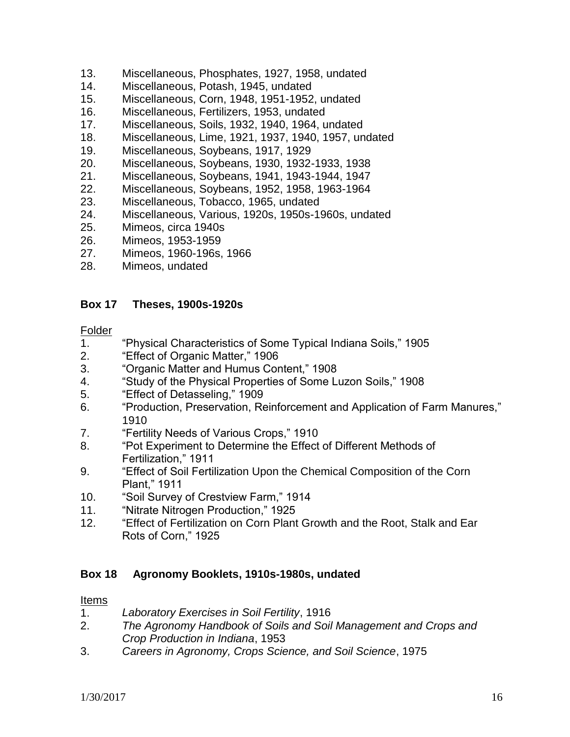- 13. Miscellaneous, Phosphates, 1927, 1958, undated
- 14. Miscellaneous, Potash, 1945, undated
- 15. Miscellaneous, Corn, 1948, 1951-1952, undated
- 16. Miscellaneous, Fertilizers, 1953, undated
- 17. Miscellaneous, Soils, 1932, 1940, 1964, undated
- 18. Miscellaneous, Lime, 1921, 1937, 1940, 1957, undated
- 19. Miscellaneous, Soybeans, 1917, 1929
- 20. Miscellaneous, Soybeans, 1930, 1932-1933, 1938
- 21. Miscellaneous, Soybeans, 1941, 1943-1944, 1947
- 22. Miscellaneous, Soybeans, 1952, 1958, 1963-1964
- 23. Miscellaneous, Tobacco, 1965, undated
- 24. Miscellaneous, Various, 1920s, 1950s-1960s, undated
- 25. Mimeos, circa 1940s
- 26. Mimeos, 1953-1959
- 27. Mimeos, 1960-196s, 1966
- 28. Mimeos, undated

#### **Box 17 Theses, 1900s-1920s**

#### **Folder**

- 1. "Physical Characteristics of Some Typical Indiana Soils," 1905
- 2. "Effect of Organic Matter," 1906
- 3. "Organic Matter and Humus Content," 1908
- 4. "Study of the Physical Properties of Some Luzon Soils," 1908
- 5. "Effect of Detasseling," 1909
- 6. "Production, Preservation, Reinforcement and Application of Farm Manures," 1910
- 7. "Fertility Needs of Various Crops," 1910
- 8. "Pot Experiment to Determine the Effect of Different Methods of Fertilization," 1911
- 9. "Effect of Soil Fertilization Upon the Chemical Composition of the Corn Plant," 1911
- 10. "Soil Survey of Crestview Farm," 1914
- 11. "Nitrate Nitrogen Production," 1925
- 12. "Effect of Fertilization on Corn Plant Growth and the Root, Stalk and Ear Rots of Corn," 1925

#### **Box 18 Agronomy Booklets, 1910s-1980s, undated**

#### Items

- 1. *Laboratory Exercises in Soil Fertility*, 1916
- 2. *The Agronomy Handbook of Soils and Soil Management and Crops and Crop Production in Indiana*, 1953
- 3. *Careers in Agronomy, Crops Science, and Soil Science*, 1975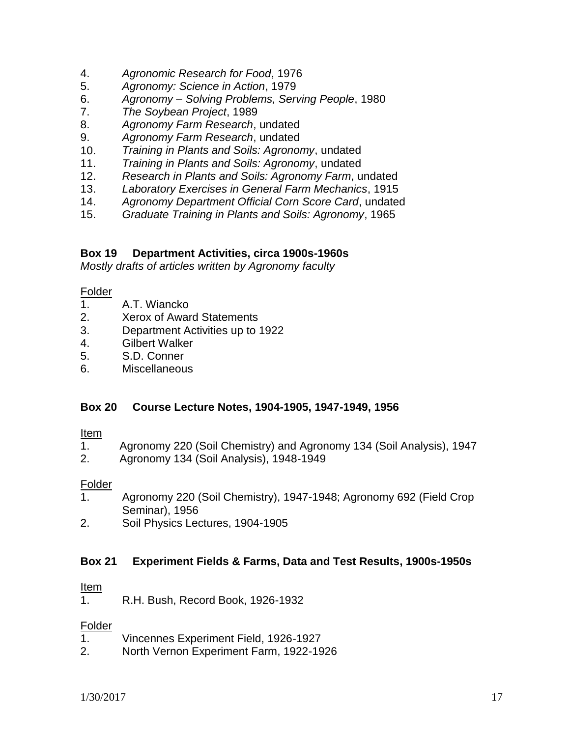- 4. *Agronomic Research for Food*, 1976
- 5. *Agronomy: Science in Action*, 1979
- 6. *Agronomy – Solving Problems, Serving People*, 1980
- 7. *The Soybean Project*, 1989
- 8. *Agronomy Farm Research*, undated
- 9. *Agronomy Farm Research*, undated
- 10. *Training in Plants and Soils: Agronomy*, undated
- 11. *Training in Plants and Soils: Agronomy*, undated
- 12. *Research in Plants and Soils: Agronomy Farm*, undated
- 13. *Laboratory Exercises in General Farm Mechanics*, 1915
- 14. *Agronomy Department Official Corn Score Card*, undated
- 15. *Graduate Training in Plants and Soils: Agronomy*, 1965

#### **Box 19 Department Activities, circa 1900s-1960s**

*Mostly drafts of articles written by Agronomy faculty*

#### Folder

- 1. A.T. Wiancko
- 2. Xerox of Award Statements
- 3. Department Activities up to 1922
- 4. Gilbert Walker
- 5. S.D. Conner
- 6. Miscellaneous

#### **Box 20 Course Lecture Notes, 1904-1905, 1947-1949, 1956**

#### Item

- 1. Agronomy 220 (Soil Chemistry) and Agronomy 134 (Soil Analysis), 1947
- 2. Agronomy 134 (Soil Analysis), 1948-1949

#### **Folder**

- 1. Agronomy 220 (Soil Chemistry), 1947-1948; Agronomy 692 (Field Crop Seminar), 1956
- 2. Soil Physics Lectures, 1904-1905

#### **Box 21 Experiment Fields & Farms, Data and Test Results, 1900s-1950s**

#### Item

1. R.H. Bush, Record Book, 1926-1932

- 1. Vincennes Experiment Field, 1926-1927
- 2. North Vernon Experiment Farm, 1922-1926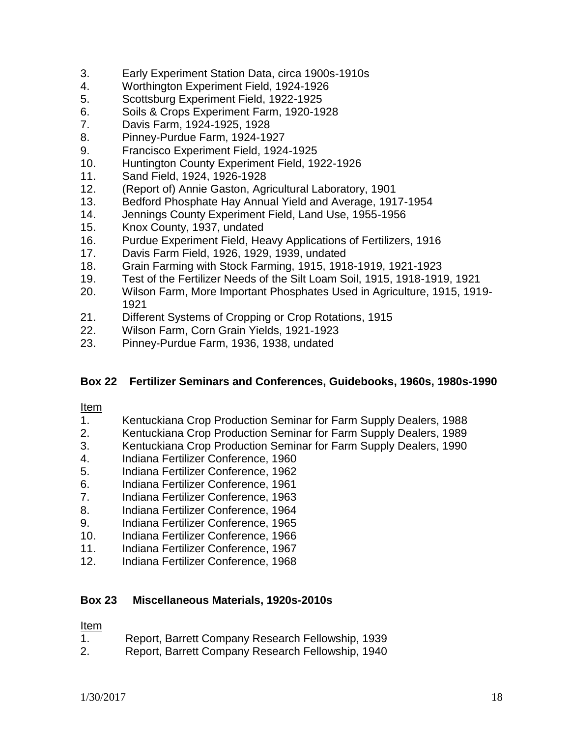- 3. Early Experiment Station Data, circa 1900s-1910s
- 4. Worthington Experiment Field, 1924-1926
- 5. Scottsburg Experiment Field, 1922-1925
- 6. Soils & Crops Experiment Farm, 1920-1928
- 7. Davis Farm, 1924-1925, 1928
- 8. Pinney-Purdue Farm, 1924-1927
- 9. Francisco Experiment Field, 1924-1925
- 10. Huntington County Experiment Field, 1922-1926
- 11. Sand Field, 1924, 1926-1928
- 12. (Report of) Annie Gaston, Agricultural Laboratory, 1901
- 13. Bedford Phosphate Hay Annual Yield and Average, 1917-1954
- 14. Jennings County Experiment Field, Land Use, 1955-1956
- 15. Knox County, 1937, undated
- 16. Purdue Experiment Field, Heavy Applications of Fertilizers, 1916
- 17. Davis Farm Field, 1926, 1929, 1939, undated
- 18. Grain Farming with Stock Farming, 1915, 1918-1919, 1921-1923
- 19. Test of the Fertilizer Needs of the Silt Loam Soil, 1915, 1918-1919, 1921
- 20. Wilson Farm, More Important Phosphates Used in Agriculture, 1915, 1919- 1921
- 21. Different Systems of Cropping or Crop Rotations, 1915
- 22. Wilson Farm, Corn Grain Yields, 1921-1923
- 23. Pinney-Purdue Farm, 1936, 1938, undated

#### **Box 22 Fertilizer Seminars and Conferences, Guidebooks, 1960s, 1980s-1990**

#### Item

- 1. Kentuckiana Crop Production Seminar for Farm Supply Dealers, 1988
- 2. Kentuckiana Crop Production Seminar for Farm Supply Dealers, 1989
- 3. Kentuckiana Crop Production Seminar for Farm Supply Dealers, 1990
- 4. Indiana Fertilizer Conference, 1960
- 5. Indiana Fertilizer Conference, 1962
- 6. Indiana Fertilizer Conference, 1961
- 7. Indiana Fertilizer Conference, 1963
- 8. Indiana Fertilizer Conference, 1964
- 9. Indiana Fertilizer Conference, 1965
- 10. Indiana Fertilizer Conference, 1966
- 11. Indiana Fertilizer Conference, 1967
- 12. Indiana Fertilizer Conference, 1968

#### **Box 23 Miscellaneous Materials, 1920s-2010s**

#### Item

- 1. Report, Barrett Company Research Fellowship, 1939
- 2. Report, Barrett Company Research Fellowship, 1940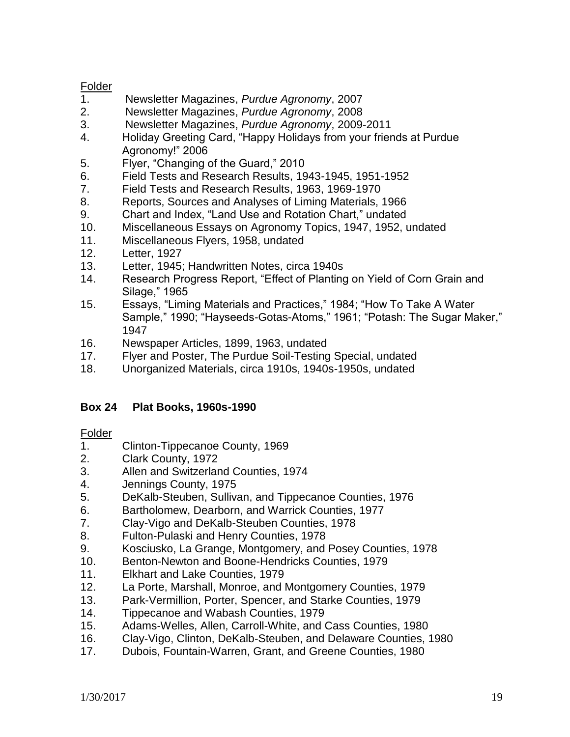## Folder

- 1. Newsletter Magazines, *Purdue Agronomy*, 2007
- 2. Newsletter Magazines, *Purdue Agronomy*, 2008
- 3. Newsletter Magazines, *Purdue Agronomy*, 2009-2011
- 4. Holiday Greeting Card, "Happy Holidays from your friends at Purdue Agronomy!" 2006
- 5. Flyer, "Changing of the Guard," 2010
- 6. Field Tests and Research Results, 1943-1945, 1951-1952
- 7. Field Tests and Research Results, 1963, 1969-1970
- 8. Reports, Sources and Analyses of Liming Materials, 1966
- 9. Chart and Index, "Land Use and Rotation Chart," undated
- 10. Miscellaneous Essays on Agronomy Topics, 1947, 1952, undated
- 11. Miscellaneous Flyers, 1958, undated
- 12. Letter, 1927
- 13. Letter, 1945; Handwritten Notes, circa 1940s
- 14. Research Progress Report, "Effect of Planting on Yield of Corn Grain and Silage," 1965
- 15. Essays, "Liming Materials and Practices," 1984; "How To Take A Water Sample," 1990; "Hayseeds-Gotas-Atoms," 1961; "Potash: The Sugar Maker," 1947
- 16. Newspaper Articles, 1899, 1963, undated
- 17. Flyer and Poster, The Purdue Soil-Testing Special, undated
- 18. Unorganized Materials, circa 1910s, 1940s-1950s, undated

# **Box 24 Plat Books, 1960s-1990**

- 1. Clinton-Tippecanoe County, 1969
- 2. Clark County, 1972
- 3. Allen and Switzerland Counties, 1974
- 4. Jennings County, 1975
- 5. DeKalb-Steuben, Sullivan, and Tippecanoe Counties, 1976
- 6. Bartholomew, Dearborn, and Warrick Counties, 1977
- 7. Clay-Vigo and DeKalb-Steuben Counties, 1978
- 8. Fulton-Pulaski and Henry Counties, 1978
- 9. Kosciusko, La Grange, Montgomery, and Posey Counties, 1978
- 10. Benton-Newton and Boone-Hendricks Counties, 1979
- 11. Elkhart and Lake Counties, 1979
- 12. La Porte, Marshall, Monroe, and Montgomery Counties, 1979
- 13. Park-Vermillion, Porter, Spencer, and Starke Counties, 1979
- 14. Tippecanoe and Wabash Counties, 1979
- 15. Adams-Welles, Allen, Carroll-White, and Cass Counties, 1980
- 16. Clay-Vigo, Clinton, DeKalb-Steuben, and Delaware Counties, 1980
- 17. Dubois, Fountain-Warren, Grant, and Greene Counties, 1980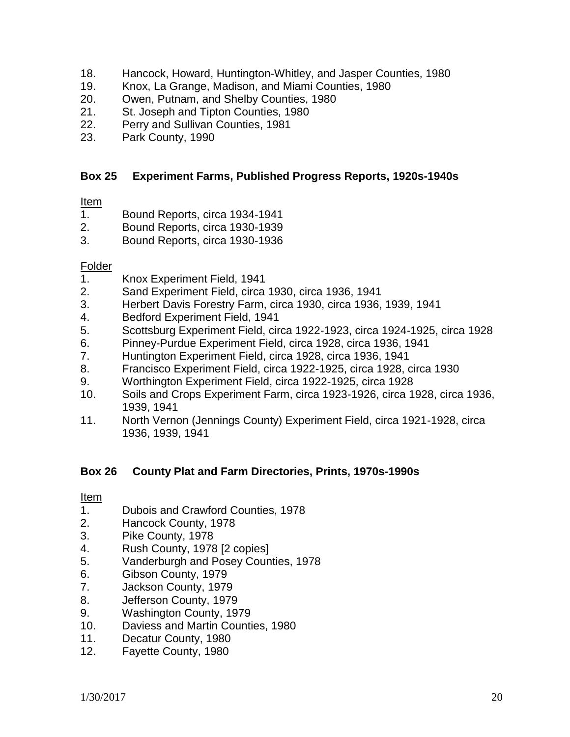- 18. Hancock, Howard, Huntington-Whitley, and Jasper Counties, 1980
- 19. Knox, La Grange, Madison, and Miami Counties, 1980
- 20. Owen, Putnam, and Shelby Counties, 1980
- 21. St. Joseph and Tipton Counties, 1980
- 22. Perry and Sullivan Counties, 1981
- 23. Park County, 1990

#### **Box 25 Experiment Farms, Published Progress Reports, 1920s-1940s**

#### Item

- 1. Bound Reports, circa 1934-1941
- 2. Bound Reports, circa 1930-1939
- 3. Bound Reports, circa 1930-1936

#### **Folder**

- 1. Knox Experiment Field, 1941
- 2. Sand Experiment Field, circa 1930, circa 1936, 1941
- 3. Herbert Davis Forestry Farm, circa 1930, circa 1936, 1939, 1941
- 4. Bedford Experiment Field, 1941
- 5. Scottsburg Experiment Field, circa 1922-1923, circa 1924-1925, circa 1928
- 6. Pinney-Purdue Experiment Field, circa 1928, circa 1936, 1941
- 7. Huntington Experiment Field, circa 1928, circa 1936, 1941
- 8. Francisco Experiment Field, circa 1922-1925, circa 1928, circa 1930
- 9. Worthington Experiment Field, circa 1922-1925, circa 1928
- 10. Soils and Crops Experiment Farm, circa 1923-1926, circa 1928, circa 1936, 1939, 1941
- 11. North Vernon (Jennings County) Experiment Field, circa 1921-1928, circa 1936, 1939, 1941

#### **Box 26 County Plat and Farm Directories, Prints, 1970s-1990s**

#### Item

- 1. Dubois and Crawford Counties, 1978
- 2. Hancock County, 1978
- 3. Pike County, 1978
- 4. Rush County, 1978 [2 copies]
- 5. Vanderburgh and Posey Counties, 1978
- 6. Gibson County, 1979
- 7. Jackson County, 1979
- 8. Jefferson County, 1979
- 9. Washington County, 1979
- 10. Daviess and Martin Counties, 1980
- 11. Decatur County, 1980
- 12. Fayette County, 1980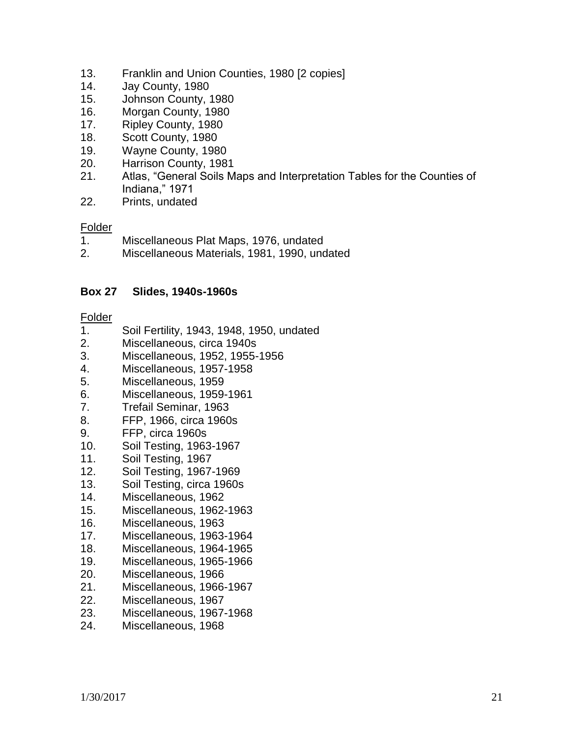- 13. Franklin and Union Counties, 1980 [2 copies]
- 14. Jay County, 1980
- 15. Johnson County, 1980
- 16. Morgan County, 1980
- 17. Ripley County, 1980
- 18. Scott County, 1980
- 19. Wayne County, 1980
- 20. Harrison County, 1981
- 21. Atlas, "General Soils Maps and Interpretation Tables for the Counties of Indiana," 1971
- 22. Prints, undated

#### **Folder**

- 1. Miscellaneous Plat Maps, 1976, undated
- 2. Miscellaneous Materials, 1981, 1990, undated

#### **Box 27 Slides, 1940s-1960s**

- 1. Soil Fertility, 1943, 1948, 1950, undated
- 2. Miscellaneous, circa 1940s
- 3. Miscellaneous, 1952, 1955-1956
- 4. Miscellaneous, 1957-1958
- 5. Miscellaneous, 1959
- 6. Miscellaneous, 1959-1961
- 7. Trefail Seminar, 1963
- 8. FFP, 1966, circa 1960s
- 9. FFP, circa 1960s
- 10. Soil Testing, 1963-1967
- 11. Soil Testing, 1967
- 12. Soil Testing, 1967-1969
- 13. Soil Testing, circa 1960s
- 14. Miscellaneous, 1962
- 15. Miscellaneous, 1962-1963
- 16. Miscellaneous, 1963
- 17. Miscellaneous, 1963-1964
- 18. Miscellaneous, 1964-1965
- 19. Miscellaneous, 1965-1966
- 20. Miscellaneous, 1966
- 21. Miscellaneous, 1966-1967
- 22. Miscellaneous, 1967
- 23. Miscellaneous, 1967-1968
- 24. Miscellaneous, 1968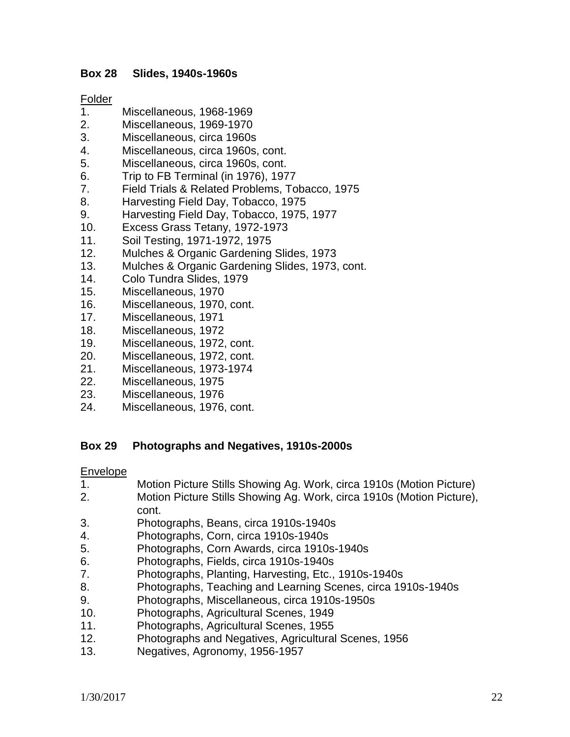#### **Box 28 Slides, 1940s-1960s**

#### Folder

- 1. Miscellaneous, 1968-1969
- 2. Miscellaneous, 1969-1970
- 3. Miscellaneous, circa 1960s
- 4. Miscellaneous, circa 1960s, cont.
- 5. Miscellaneous, circa 1960s, cont.
- 6. Trip to FB Terminal (in 1976), 1977
- 7. Field Trials & Related Problems, Tobacco, 1975
- 8. Harvesting Field Day, Tobacco, 1975
- 9. Harvesting Field Day, Tobacco, 1975, 1977
- 10. Excess Grass Tetany, 1972-1973
- 11. Soil Testing, 1971-1972, 1975
- 12. Mulches & Organic Gardening Slides, 1973
- 13. Mulches & Organic Gardening Slides, 1973, cont.
- 14. Colo Tundra Slides, 1979
- 15. Miscellaneous, 1970
- 16. Miscellaneous, 1970, cont.
- 17. Miscellaneous, 1971
- 18. Miscellaneous, 1972
- 19. Miscellaneous, 1972, cont.
- 20. Miscellaneous, 1972, cont.
- 21. Miscellaneous, 1973-1974
- 22. Miscellaneous, 1975
- 23. Miscellaneous, 1976
- 24. Miscellaneous, 1976, cont.

#### **Box 29 Photographs and Negatives, 1910s-2000s**

#### Envelope

- 1. Motion Picture Stills Showing Ag. Work, circa 1910s (Motion Picture)
- 2. Motion Picture Stills Showing Ag. Work, circa 1910s (Motion Picture), cont.
- 3. Photographs, Beans, circa 1910s-1940s
- 4. Photographs, Corn, circa 1910s-1940s
- 5. Photographs, Corn Awards, circa 1910s-1940s
- 6. Photographs, Fields, circa 1910s-1940s
- 7. Photographs, Planting, Harvesting, Etc., 1910s-1940s
- 8. Photographs, Teaching and Learning Scenes, circa 1910s-1940s
- 9. Photographs, Miscellaneous, circa 1910s-1950s
- 10. Photographs, Agricultural Scenes, 1949
- 11. Photographs, Agricultural Scenes, 1955
- 12. Photographs and Negatives, Agricultural Scenes, 1956
- 13. Negatives, Agronomy, 1956-1957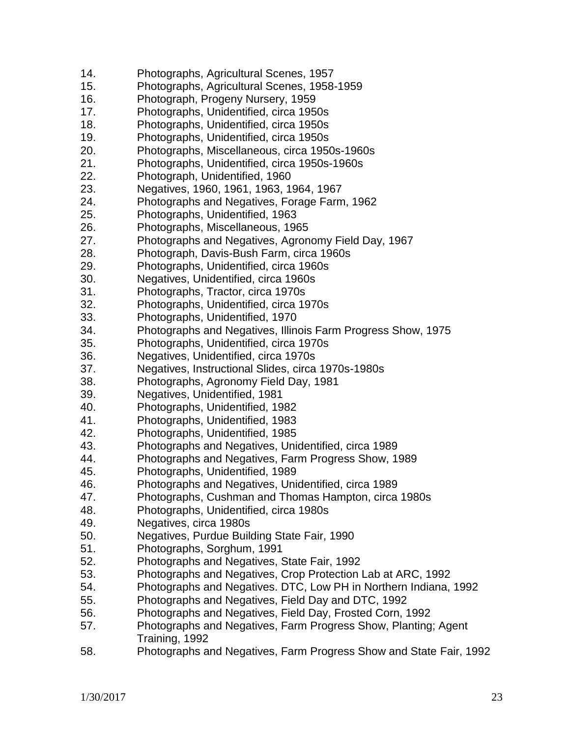- 14. Photographs, Agricultural Scenes, 1957
- 15. Photographs, Agricultural Scenes, 1958-1959
- 16. Photograph, Progeny Nursery, 1959
- 17. Photographs, Unidentified, circa 1950s
- 18. Photographs, Unidentified, circa 1950s
- 19. Photographs, Unidentified, circa 1950s
- 20. Photographs, Miscellaneous, circa 1950s-1960s
- 21. Photographs, Unidentified, circa 1950s-1960s
- 22. Photograph, Unidentified, 1960
- 23. Negatives, 1960, 1961, 1963, 1964, 1967
- 24. Photographs and Negatives, Forage Farm, 1962
- 25. Photographs, Unidentified, 1963
- 26. Photographs, Miscellaneous, 1965
- 27. Photographs and Negatives, Agronomy Field Day, 1967
- 28. Photograph, Davis-Bush Farm, circa 1960s
- 29. Photographs, Unidentified, circa 1960s
- 30. Negatives, Unidentified, circa 1960s
- 31. Photographs, Tractor, circa 1970s
- 32. Photographs, Unidentified, circa 1970s
- 33. Photographs, Unidentified, 1970
- 34. Photographs and Negatives, Illinois Farm Progress Show, 1975
- 35. Photographs, Unidentified, circa 1970s
- 36. Negatives, Unidentified, circa 1970s
- 37. Negatives, Instructional Slides, circa 1970s-1980s
- 38. Photographs, Agronomy Field Day, 1981
- 39. Negatives, Unidentified, 1981
- 40. Photographs, Unidentified, 1982
- 41. Photographs, Unidentified, 1983
- 42. Photographs, Unidentified, 1985
- 43. Photographs and Negatives, Unidentified, circa 1989
- 44. Photographs and Negatives, Farm Progress Show, 1989
- 45. Photographs, Unidentified, 1989
- 46. Photographs and Negatives, Unidentified, circa 1989
- 47. Photographs, Cushman and Thomas Hampton, circa 1980s
- 48. Photographs, Unidentified, circa 1980s
- 49. Negatives, circa 1980s
- 50. Negatives, Purdue Building State Fair, 1990
- 51. Photographs, Sorghum, 1991
- 52. Photographs and Negatives, State Fair, 1992
- 53. Photographs and Negatives, Crop Protection Lab at ARC, 1992
- 54. Photographs and Negatives. DTC, Low PH in Northern Indiana, 1992
- 55. Photographs and Negatives, Field Day and DTC, 1992
- 56. Photographs and Negatives, Field Day, Frosted Corn, 1992
- 57. Photographs and Negatives, Farm Progress Show, Planting; Agent Training, 1992
- 58. Photographs and Negatives, Farm Progress Show and State Fair, 1992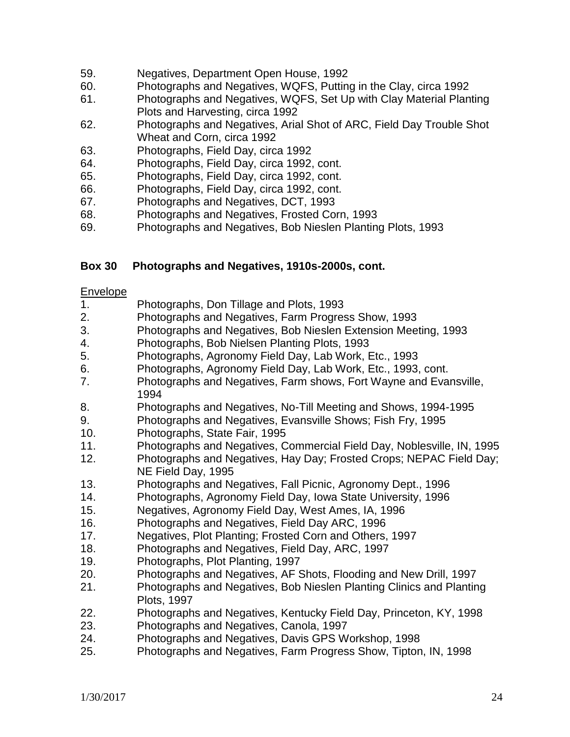- 59. Negatives, Department Open House, 1992
- 60. Photographs and Negatives, WQFS, Putting in the Clay, circa 1992
- 61. Photographs and Negatives, WQFS, Set Up with Clay Material Planting Plots and Harvesting, circa 1992
- 62. Photographs and Negatives, Arial Shot of ARC, Field Day Trouble Shot Wheat and Corn, circa 1992
- 63. Photographs, Field Day, circa 1992
- 64. Photographs, Field Day, circa 1992, cont.
- 65. Photographs, Field Day, circa 1992, cont.
- 66. Photographs, Field Day, circa 1992, cont.
- 67. Photographs and Negatives, DCT, 1993
- 68. Photographs and Negatives, Frosted Corn, 1993
- 69. Photographs and Negatives, Bob Nieslen Planting Plots, 1993

## **Box 30 Photographs and Negatives, 1910s-2000s, cont.**

#### Envelope

- 1. Photographs, Don Tillage and Plots, 1993
- 2. Photographs and Negatives, Farm Progress Show, 1993
- 3. Photographs and Negatives, Bob Nieslen Extension Meeting, 1993
- 4. Photographs, Bob Nielsen Planting Plots, 1993
- 5. Photographs, Agronomy Field Day, Lab Work, Etc., 1993
- 6. Photographs, Agronomy Field Day, Lab Work, Etc., 1993, cont.
- 7. Photographs and Negatives, Farm shows, Fort Wayne and Evansville, 1994
- 8. Photographs and Negatives, No-Till Meeting and Shows, 1994-1995
- 9. Photographs and Negatives, Evansville Shows; Fish Fry, 1995
- 10. Photographs, State Fair, 1995
- 11. Photographs and Negatives, Commercial Field Day, Noblesville, IN, 1995
- 12. Photographs and Negatives, Hay Day; Frosted Crops; NEPAC Field Day; NE Field Day, 1995
- 13. Photographs and Negatives, Fall Picnic, Agronomy Dept., 1996
- 14. Photographs, Agronomy Field Day, Iowa State University, 1996
- 15. Negatives, Agronomy Field Day, West Ames, IA, 1996
- 16. Photographs and Negatives, Field Day ARC, 1996
- 17. Negatives, Plot Planting; Frosted Corn and Others, 1997
- 18. Photographs and Negatives, Field Day, ARC, 1997
- 19. Photographs, Plot Planting, 1997
- 20. Photographs and Negatives, AF Shots, Flooding and New Drill, 1997
- 21. Photographs and Negatives, Bob Nieslen Planting Clinics and Planting Plots, 1997
- 22. Photographs and Negatives, Kentucky Field Day, Princeton, KY, 1998
- 23. Photographs and Negatives, Canola, 1997
- 24. Photographs and Negatives, Davis GPS Workshop, 1998
- 25. Photographs and Negatives, Farm Progress Show, Tipton, IN, 1998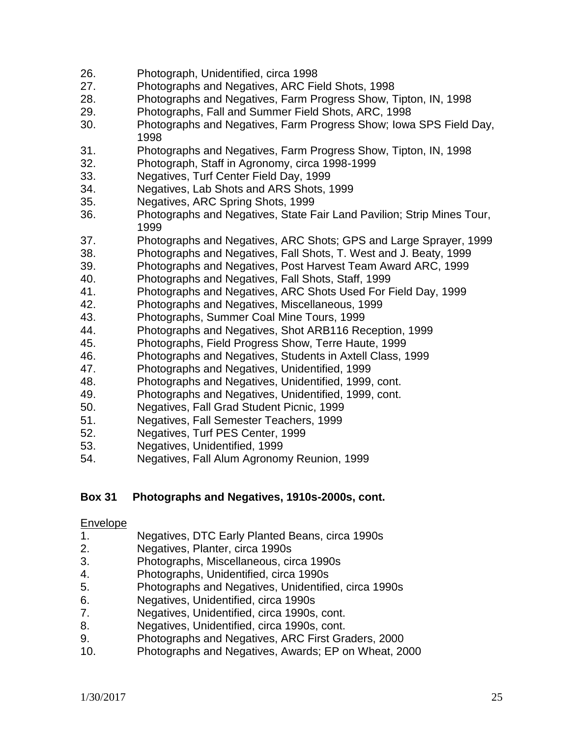- 26. Photograph, Unidentified, circa 1998
- 27. Photographs and Negatives, ARC Field Shots, 1998
- 28. Photographs and Negatives, Farm Progress Show, Tipton, IN, 1998
- 29. Photographs, Fall and Summer Field Shots, ARC, 1998
- 30. Photographs and Negatives, Farm Progress Show; Iowa SPS Field Day, 1998
- 31. Photographs and Negatives, Farm Progress Show, Tipton, IN, 1998
- 32. Photograph, Staff in Agronomy, circa 1998-1999
- 33. Negatives, Turf Center Field Day, 1999
- 34. Negatives, Lab Shots and ARS Shots, 1999
- 35. Negatives, ARC Spring Shots, 1999
- 36. Photographs and Negatives, State Fair Land Pavilion; Strip Mines Tour, 1999
- 37. Photographs and Negatives, ARC Shots; GPS and Large Sprayer, 1999
- 38. Photographs and Negatives, Fall Shots, T. West and J. Beaty, 1999
- 39. Photographs and Negatives, Post Harvest Team Award ARC, 1999
- 40. Photographs and Negatives, Fall Shots, Staff, 1999
- 41. Photographs and Negatives, ARC Shots Used For Field Day, 1999
- 42. Photographs and Negatives, Miscellaneous, 1999
- 43. Photographs, Summer Coal Mine Tours, 1999
- 44. Photographs and Negatives, Shot ARB116 Reception, 1999
- 45. Photographs, Field Progress Show, Terre Haute, 1999
- 46. Photographs and Negatives, Students in Axtell Class, 1999
- 47. Photographs and Negatives, Unidentified, 1999
- 48. Photographs and Negatives, Unidentified, 1999, cont.
- 49. Photographs and Negatives, Unidentified, 1999, cont.
- 50. Negatives, Fall Grad Student Picnic, 1999
- 51. Negatives, Fall Semester Teachers, 1999
- 52. Negatives, Turf PES Center, 1999
- 53. Negatives, Unidentified, 1999
- 54. Negatives, Fall Alum Agronomy Reunion, 1999

# **Box 31 Photographs and Negatives, 1910s-2000s, cont.**

#### Envelope

- 1. Negatives, DTC Early Planted Beans, circa 1990s
- 2. Negatives, Planter, circa 1990s
- 3. Photographs, Miscellaneous, circa 1990s
- 4. Photographs, Unidentified, circa 1990s
- 5. Photographs and Negatives, Unidentified, circa 1990s
- 6. Negatives, Unidentified, circa 1990s
- 7. Negatives, Unidentified, circa 1990s, cont.
- 8. Negatives, Unidentified, circa 1990s, cont.
- 9. Photographs and Negatives, ARC First Graders, 2000
- 10. Photographs and Negatives, Awards; EP on Wheat, 2000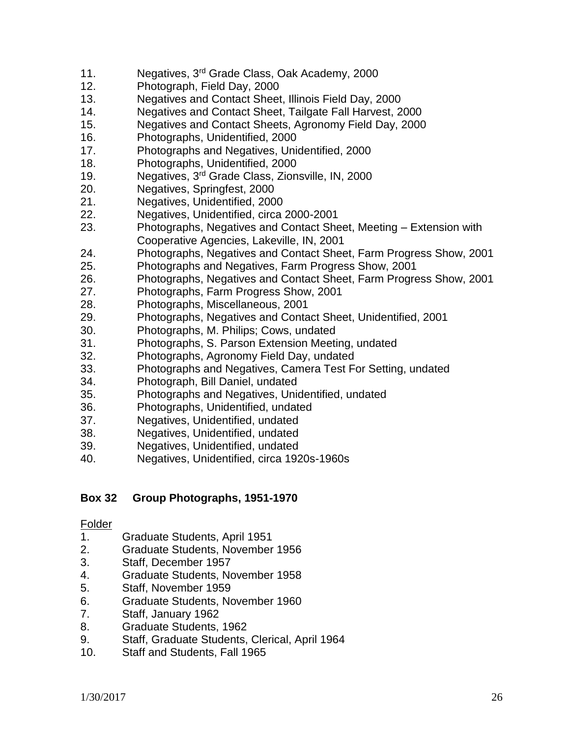- 11. Negatives, 3<sup>rd</sup> Grade Class, Oak Academy, 2000
- 12. Photograph, Field Day, 2000
- 13. Negatives and Contact Sheet, Illinois Field Day, 2000
- 14. Negatives and Contact Sheet, Tailgate Fall Harvest, 2000
- 15. Negatives and Contact Sheets, Agronomy Field Day, 2000
- 16. Photographs, Unidentified, 2000
- 17. Photographs and Negatives, Unidentified, 2000
- 18. Photographs, Unidentified, 2000
- 19. Negatives, 3rd Grade Class, Zionsville, IN, 2000
- 20. Negatives, Springfest, 2000
- 21. Negatives, Unidentified, 2000
- 22. Negatives, Unidentified, circa 2000-2001
- 23. Photographs, Negatives and Contact Sheet, Meeting Extension with Cooperative Agencies, Lakeville, IN, 2001
- 24. Photographs, Negatives and Contact Sheet, Farm Progress Show, 2001
- 25. Photographs and Negatives, Farm Progress Show, 2001
- 26. Photographs, Negatives and Contact Sheet, Farm Progress Show, 2001
- 27. Photographs, Farm Progress Show, 2001
- 28. Photographs, Miscellaneous, 2001
- 29. Photographs, Negatives and Contact Sheet, Unidentified, 2001
- 30. Photographs, M. Philips; Cows, undated
- 31. Photographs, S. Parson Extension Meeting, undated
- 32. Photographs, Agronomy Field Day, undated
- 33. Photographs and Negatives, Camera Test For Setting, undated
- 34. Photograph, Bill Daniel, undated
- 35. Photographs and Negatives, Unidentified, undated
- 36. Photographs, Unidentified, undated
- 37. Negatives, Unidentified, undated
- 38. Negatives, Unidentified, undated
- 39. Negatives, Unidentified, undated
- 40. Negatives, Unidentified, circa 1920s-1960s

#### **Box 32 Group Photographs, 1951-1970**

- 1. Graduate Students, April 1951
- 2. Graduate Students, November 1956
- 3. Staff, December 1957
- 4. Graduate Students, November 1958
- 5. Staff, November 1959
- 6. Graduate Students, November 1960
- 7. Staff, January 1962
- 8. Graduate Students, 1962
- 9. Staff, Graduate Students, Clerical, April 1964
- 10. Staff and Students, Fall 1965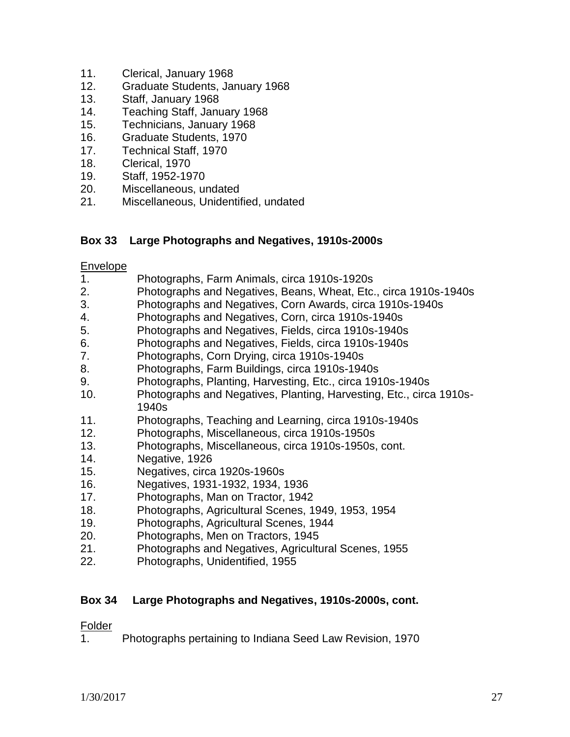- 11. Clerical, January 1968
- 12. Graduate Students, January 1968
- 13. Staff, January 1968
- 14. Teaching Staff, January 1968
- 15. Technicians, January 1968
- 16. Graduate Students, 1970
- 17. Technical Staff, 1970
- 18. Clerical, 1970
- 19. Staff, 1952-1970
- 20. Miscellaneous, undated
- 21. Miscellaneous, Unidentified, undated

#### **Box 33 Large Photographs and Negatives, 1910s-2000s**

#### Envelope

- 1. Photographs, Farm Animals, circa 1910s-1920s
- 2. Photographs and Negatives, Beans, Wheat, Etc., circa 1910s-1940s
- 3. Photographs and Negatives, Corn Awards, circa 1910s-1940s
- 4. Photographs and Negatives, Corn, circa 1910s-1940s
- 5. Photographs and Negatives, Fields, circa 1910s-1940s
- 6. Photographs and Negatives, Fields, circa 1910s-1940s
- 7. Photographs, Corn Drying, circa 1910s-1940s
- 8. Photographs, Farm Buildings, circa 1910s-1940s
- 9. Photographs, Planting, Harvesting, Etc., circa 1910s-1940s
- 10. Photographs and Negatives, Planting, Harvesting, Etc., circa 1910s-1940s
- 11. Photographs, Teaching and Learning, circa 1910s-1940s
- 12. Photographs, Miscellaneous, circa 1910s-1950s
- 13. Photographs, Miscellaneous, circa 1910s-1950s, cont.
- 14. Negative, 1926
- 15. Negatives, circa 1920s-1960s
- 16. Negatives, 1931-1932, 1934, 1936
- 17. Photographs, Man on Tractor, 1942
- 18. Photographs, Agricultural Scenes, 1949, 1953, 1954
- 19. Photographs, Agricultural Scenes, 1944
- 20. Photographs, Men on Tractors, 1945
- 21. Photographs and Negatives, Agricultural Scenes, 1955
- 22. Photographs, Unidentified, 1955

#### **Box 34 Large Photographs and Negatives, 1910s-2000s, cont.**

#### Folder

1. Photographs pertaining to Indiana Seed Law Revision, 1970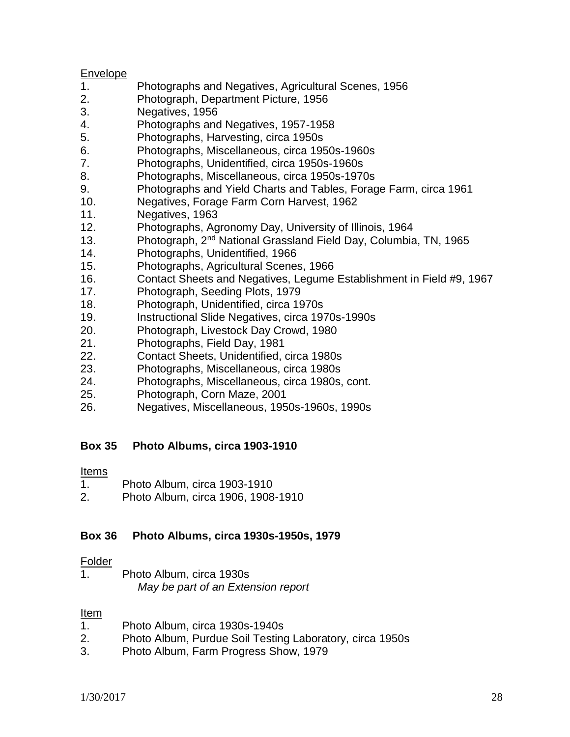#### Envelope

- 1. Photographs and Negatives, Agricultural Scenes, 1956
- 2. Photograph, Department Picture, 1956
- 3. Negatives, 1956
- 4. Photographs and Negatives, 1957-1958
- 5. Photographs, Harvesting, circa 1950s
- 6. Photographs, Miscellaneous, circa 1950s-1960s
- 7. Photographs, Unidentified, circa 1950s-1960s
- 8. Photographs, Miscellaneous, circa 1950s-1970s
- 9. Photographs and Yield Charts and Tables, Forage Farm, circa 1961
- 10. Negatives, Forage Farm Corn Harvest, 1962
- 11. Negatives, 1963
- 12. Photographs, Agronomy Day, University of Illinois, 1964
- 13. Photograph, 2<sup>nd</sup> National Grassland Field Day, Columbia, TN, 1965
- 14. Photographs, Unidentified, 1966
- 15. Photographs, Agricultural Scenes, 1966
- 16. Contact Sheets and Negatives, Legume Establishment in Field #9, 1967
- 17. Photograph, Seeding Plots, 1979
- 18. Photograph, Unidentified, circa 1970s
- 19. Instructional Slide Negatives, circa 1970s-1990s
- 20. Photograph, Livestock Day Crowd, 1980
- 21. Photographs, Field Day, 1981
- 22. Contact Sheets, Unidentified, circa 1980s
- 23. Photographs, Miscellaneous, circa 1980s
- 24. Photographs, Miscellaneous, circa 1980s, cont.
- 25. Photograph, Corn Maze, 2001
- 26. Negatives, Miscellaneous, 1950s-1960s, 1990s

# **Box 35 Photo Albums, circa 1903-1910**

#### Items

- 1. Photo Album, circa 1903-1910
- 2. Photo Album, circa 1906, 1908-1910

#### **Box 36 Photo Albums, circa 1930s-1950s, 1979**

#### Folder

1. Photo Album, circa 1930s *May be part of an Extension report*

#### <u>Item</u>

- 1. Photo Album, circa 1930s-1940s
- 2. Photo Album, Purdue Soil Testing Laboratory, circa 1950s
- 3. Photo Album, Farm Progress Show, 1979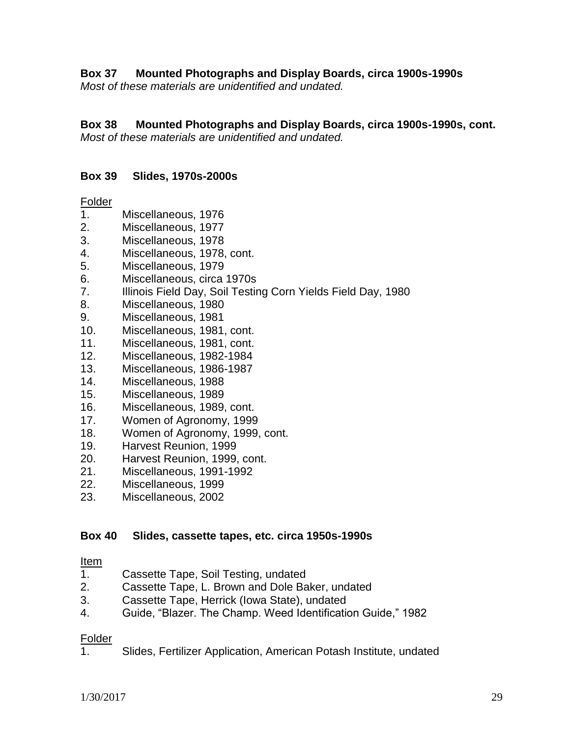**Box 37 Mounted Photographs and Display Boards, circa 1900s-1990s**

*Most of these materials are unidentified and undated.*

# **Box 38 Mounted Photographs and Display Boards, circa 1900s-1990s, cont.**

*Most of these materials are unidentified and undated.*

# **Box 39 Slides, 1970s-2000s**

## Folder

- 1. Miscellaneous, 1976
- 2. Miscellaneous, 1977
- 3. Miscellaneous, 1978
- 4. Miscellaneous, 1978, cont.
- 5. Miscellaneous, 1979
- 6. Miscellaneous, circa 1970s
- 7. Illinois Field Day, Soil Testing Corn Yields Field Day, 1980
- 8. Miscellaneous, 1980
- 9. Miscellaneous, 1981
- 10. Miscellaneous, 1981, cont.
- 11. Miscellaneous, 1981, cont.
- 12. Miscellaneous, 1982-1984
- 13. Miscellaneous, 1986-1987
- 14. Miscellaneous, 1988
- 15. Miscellaneous, 1989
- 16. Miscellaneous, 1989, cont.
- 17. Women of Agronomy, 1999
- 18. Women of Agronomy, 1999, cont.
- 19. Harvest Reunion, 1999
- 20. Harvest Reunion, 1999, cont.
- 21. Miscellaneous, 1991-1992
- 22. Miscellaneous, 1999
- 23. Miscellaneous, 2002

# **Box 40 Slides, cassette tapes, etc. circa 1950s-1990s**

# <u>Item</u><br>1.

- 1. Cassette Tape, Soil Testing, undated
- 2. Cassette Tape, L. Brown and Dole Baker, undated
- 3. Cassette Tape, Herrick (Iowa State), undated
- 4. Guide, "Blazer. The Champ. Weed Identification Guide," 1982

# Folder

1. Slides, Fertilizer Application, American Potash Institute, undated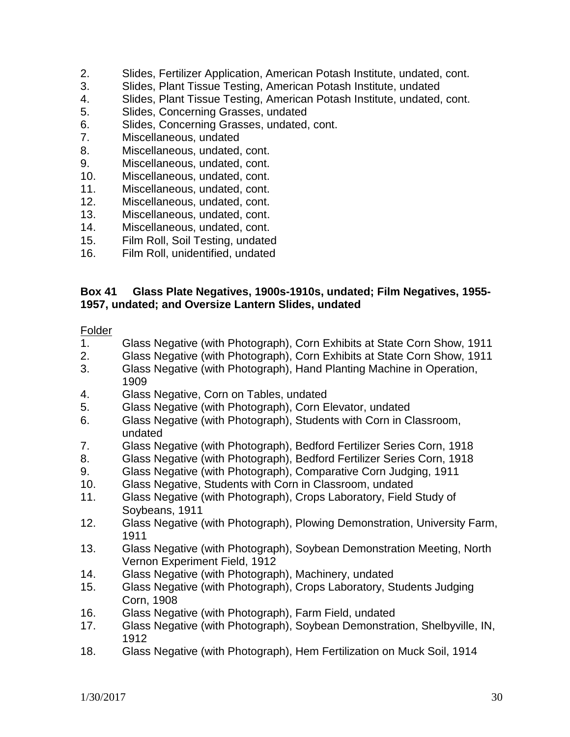- 2. Slides, Fertilizer Application, American Potash Institute, undated, cont.
- 3. Slides, Plant Tissue Testing, American Potash Institute, undated
- 4. Slides, Plant Tissue Testing, American Potash Institute, undated, cont.
- 5. Slides, Concerning Grasses, undated
- 6. Slides, Concerning Grasses, undated, cont.
- 7. Miscellaneous, undated
- 8. Miscellaneous, undated, cont.
- 9. Miscellaneous, undated, cont.
- 10. Miscellaneous, undated, cont.
- 11. Miscellaneous, undated, cont.
- 12. Miscellaneous, undated, cont.
- 13. Miscellaneous, undated, cont.
- 14. Miscellaneous, undated, cont.
- 15. Film Roll, Soil Testing, undated
- 16. Film Roll, unidentified, undated

#### **Box 41 Glass Plate Negatives, 1900s-1910s, undated; Film Negatives, 1955- 1957, undated; and Oversize Lantern Slides, undated**

- 1. Glass Negative (with Photograph), Corn Exhibits at State Corn Show, 1911
- 2. Glass Negative (with Photograph), Corn Exhibits at State Corn Show, 1911
- 3. Glass Negative (with Photograph), Hand Planting Machine in Operation, 1909
- 4. Glass Negative, Corn on Tables, undated
- 5. Glass Negative (with Photograph), Corn Elevator, undated
- 6. Glass Negative (with Photograph), Students with Corn in Classroom, undated
- 7. Glass Negative (with Photograph), Bedford Fertilizer Series Corn, 1918
- 8. Glass Negative (with Photograph), Bedford Fertilizer Series Corn, 1918
- 9. Glass Negative (with Photograph), Comparative Corn Judging, 1911
- 10. Glass Negative, Students with Corn in Classroom, undated
- 11. Glass Negative (with Photograph), Crops Laboratory, Field Study of Soybeans, 1911
- 12. Glass Negative (with Photograph), Plowing Demonstration, University Farm, 1911
- 13. Glass Negative (with Photograph), Soybean Demonstration Meeting, North Vernon Experiment Field, 1912
- 14. Glass Negative (with Photograph), Machinery, undated
- 15. Glass Negative (with Photograph), Crops Laboratory, Students Judging Corn, 1908
- 16. Glass Negative (with Photograph), Farm Field, undated
- 17. Glass Negative (with Photograph), Soybean Demonstration, Shelbyville, IN, 1912
- 18. Glass Negative (with Photograph), Hem Fertilization on Muck Soil, 1914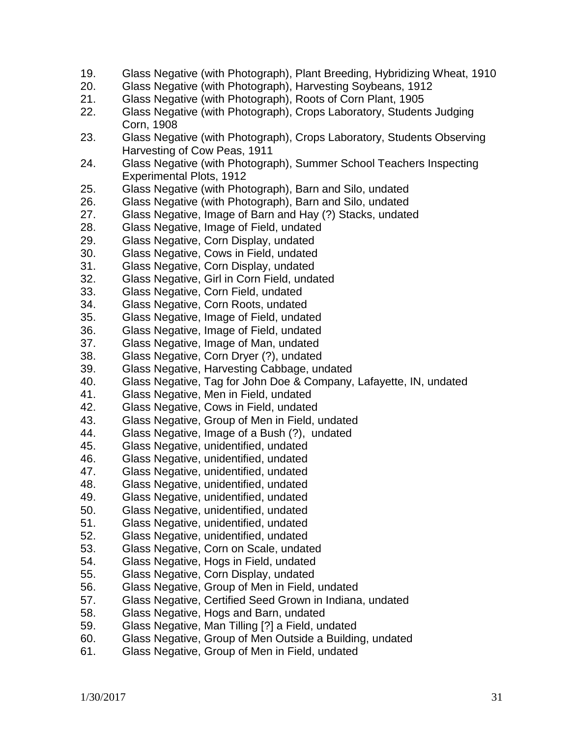- 19. Glass Negative (with Photograph), Plant Breeding, Hybridizing Wheat, 1910
- 20. Glass Negative (with Photograph), Harvesting Soybeans, 1912
- 21. Glass Negative (with Photograph), Roots of Corn Plant, 1905
- 22. Glass Negative (with Photograph), Crops Laboratory, Students Judging Corn, 1908
- 23. Glass Negative (with Photograph), Crops Laboratory, Students Observing Harvesting of Cow Peas, 1911
- 24. Glass Negative (with Photograph), Summer School Teachers Inspecting Experimental Plots, 1912
- 25. Glass Negative (with Photograph), Barn and Silo, undated
- 26. Glass Negative (with Photograph), Barn and Silo, undated
- 27. Glass Negative, Image of Barn and Hay (?) Stacks, undated
- 28. Glass Negative, Image of Field, undated
- 29. Glass Negative, Corn Display, undated
- 30. Glass Negative, Cows in Field, undated
- 31. Glass Negative, Corn Display, undated
- 32. Glass Negative, Girl in Corn Field, undated
- 33. Glass Negative, Corn Field, undated
- 34. Glass Negative, Corn Roots, undated
- 35. Glass Negative, Image of Field, undated
- 36. Glass Negative, Image of Field, undated
- 37. Glass Negative, Image of Man, undated
- 38. Glass Negative, Corn Dryer (?), undated
- 39. Glass Negative, Harvesting Cabbage, undated
- 40. Glass Negative, Tag for John Doe & Company, Lafayette, IN, undated
- 41. Glass Negative, Men in Field, undated
- 42. Glass Negative, Cows in Field, undated
- 43. Glass Negative, Group of Men in Field, undated
- 44. Glass Negative, Image of a Bush (?), undated
- 45. Glass Negative, unidentified, undated
- 46. Glass Negative, unidentified, undated
- 47. Glass Negative, unidentified, undated
- 48. Glass Negative, unidentified, undated
- 49. Glass Negative, unidentified, undated
- 50. Glass Negative, unidentified, undated
- 51. Glass Negative, unidentified, undated
- 52. Glass Negative, unidentified, undated
- 53. Glass Negative, Corn on Scale, undated
- 54. Glass Negative, Hogs in Field, undated
- 55. Glass Negative, Corn Display, undated
- 56. Glass Negative, Group of Men in Field, undated
- 57. Glass Negative, Certified Seed Grown in Indiana, undated
- 58. Glass Negative, Hogs and Barn, undated
- 59. Glass Negative, Man Tilling [?] a Field, undated
- 60. Glass Negative, Group of Men Outside a Building, undated
- 61. Glass Negative, Group of Men in Field, undated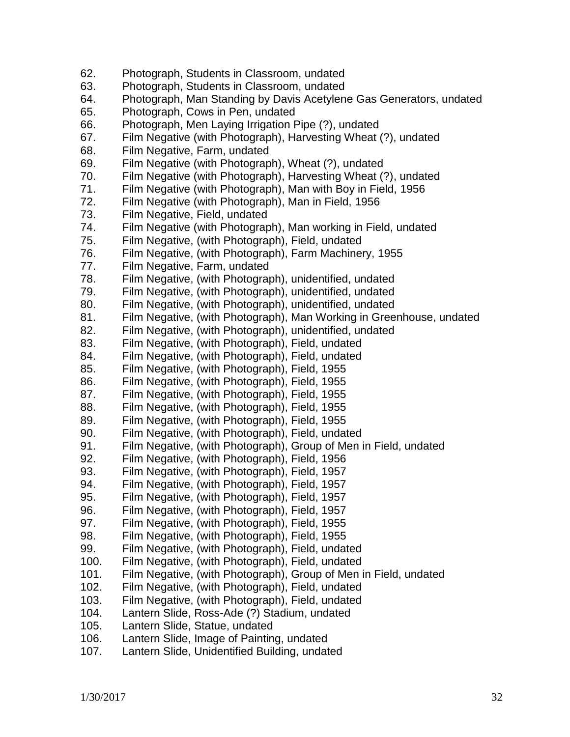| 62.  | Photograph, Students in Classroom, undated                           |
|------|----------------------------------------------------------------------|
| 63.  | Photograph, Students in Classroom, undated                           |
| 64.  | Photograph, Man Standing by Davis Acetylene Gas Generators, undated  |
| 65.  | Photograph, Cows in Pen, undated                                     |
| 66.  | Photograph, Men Laying Irrigation Pipe (?), undated                  |
| 67.  | Film Negative (with Photograph), Harvesting Wheat (?), undated       |
| 68.  | Film Negative, Farm, undated                                         |
| 69.  | Film Negative (with Photograph), Wheat (?), undated                  |
| 70.  | Film Negative (with Photograph), Harvesting Wheat (?), undated       |
| 71.  | Film Negative (with Photograph), Man with Boy in Field, 1956         |
| 72.  | Film Negative (with Photograph), Man in Field, 1956                  |
| 73.  | Film Negative, Field, undated                                        |
| 74.  | Film Negative (with Photograph), Man working in Field, undated       |
| 75.  | Film Negative, (with Photograph), Field, undated                     |
| 76.  | Film Negative, (with Photograph), Farm Machinery, 1955               |
| 77.  | Film Negative, Farm, undated                                         |
| 78.  | Film Negative, (with Photograph), unidentified, undated              |
| 79.  | Film Negative, (with Photograph), unidentified, undated              |
| 80.  | Film Negative, (with Photograph), unidentified, undated              |
| 81.  | Film Negative, (with Photograph), Man Working in Greenhouse, undated |
| 82.  | Film Negative, (with Photograph), unidentified, undated              |
| 83.  | Film Negative, (with Photograph), Field, undated                     |
| 84.  | Film Negative, (with Photograph), Field, undated                     |
| 85.  | Film Negative, (with Photograph), Field, 1955                        |
| 86.  | Film Negative, (with Photograph), Field, 1955                        |
| 87.  | Film Negative, (with Photograph), Field, 1955                        |
| 88.  | Film Negative, (with Photograph), Field, 1955                        |
| 89.  | Film Negative, (with Photograph), Field, 1955                        |
| 90.  | Film Negative, (with Photograph), Field, undated                     |
| 91.  | Film Negative, (with Photograph), Group of Men in Field, undated     |
| 92.  | Film Negative, (with Photograph), Field, 1956                        |
| 93.  | Film Negative, (with Photograph), Field, 1957                        |
| 94.  | Film Negative, (with Photograph), Field, 1957                        |
| 95.  | Film Negative, (with Photograph), Field, 1957                        |
| 96.  | Film Negative, (with Photograph), Field, 1957                        |
| 97.  | Film Negative, (with Photograph), Field, 1955                        |
| 98.  | Film Negative, (with Photograph), Field, 1955                        |
| 99.  | Film Negative, (with Photograph), Field, undated                     |
| 100. | Film Negative, (with Photograph), Field, undated                     |
| 101. | Film Negative, (with Photograph), Group of Men in Field, undated     |
| 102. | Film Negative, (with Photograph), Field, undated                     |
| 103. | Film Negative, (with Photograph), Field, undated                     |
| 104. | Lantern Slide, Ross-Ade (?) Stadium, undated                         |
| 105. | Lantern Slide, Statue, undated                                       |
| 106. | Lantern Slide, Image of Painting, undated                            |
| 107. | Lantern Slide, Unidentified Building, undated                        |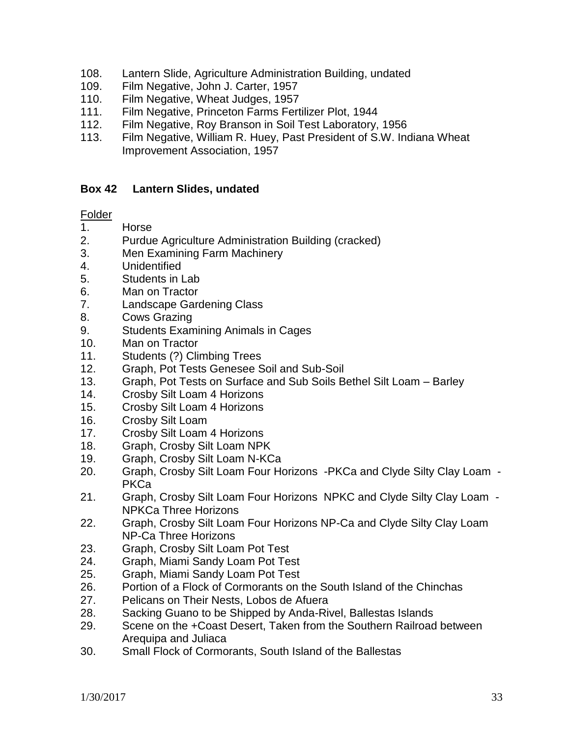- 108. Lantern Slide, Agriculture Administration Building, undated
- 109. Film Negative, John J. Carter, 1957
- 110. Film Negative, Wheat Judges, 1957
- 111. Film Negative, Princeton Farms Fertilizer Plot, 1944
- 112. Film Negative, Roy Branson in Soil Test Laboratory, 1956
- 113. Film Negative, William R. Huey, Past President of S.W. Indiana Wheat Improvement Association, 1957

## **Box 42 Lantern Slides, undated**

- 1. Horse
- 2. Purdue Agriculture Administration Building (cracked)
- 3. Men Examining Farm Machinery
- 4. Unidentified
- 5. Students in Lab
- 6. Man on Tractor
- 7. Landscape Gardening Class
- 8. Cows Grazing
- 9. Students Examining Animals in Cages
- 10. Man on Tractor
- 11. Students (?) Climbing Trees
- 12. Graph, Pot Tests Genesee Soil and Sub-Soil
- 13. Graph, Pot Tests on Surface and Sub Soils Bethel Silt Loam Barley
- 14. Crosby Silt Loam 4 Horizons
- 15. Crosby Silt Loam 4 Horizons
- 16. Crosby Silt Loam
- 17. Crosby Silt Loam 4 Horizons
- 18. Graph, Crosby Silt Loam NPK
- 19. Graph, Crosby Silt Loam N-KCa
- 20. Graph, Crosby Silt Loam Four Horizons -PKCa and Clyde Silty Clay Loam PKCa
- 21. Graph, Crosby Silt Loam Four Horizons NPKC and Clyde Silty Clay Loam NPKCa Three Horizons
- 22. Graph, Crosby Silt Loam Four Horizons NP-Ca and Clyde Silty Clay Loam NP-Ca Three Horizons
- 23. Graph, Crosby Silt Loam Pot Test
- 24. Graph, Miami Sandy Loam Pot Test
- 25. Graph, Miami Sandy Loam Pot Test
- 26. Portion of a Flock of Cormorants on the South Island of the Chinchas
- 27. Pelicans on Their Nests, Lobos de Afuera
- 28. Sacking Guano to be Shipped by Anda-Rivel, Ballestas Islands
- 29. Scene on the +Coast Desert, Taken from the Southern Railroad between Arequipa and Juliaca
- 30. Small Flock of Cormorants, South Island of the Ballestas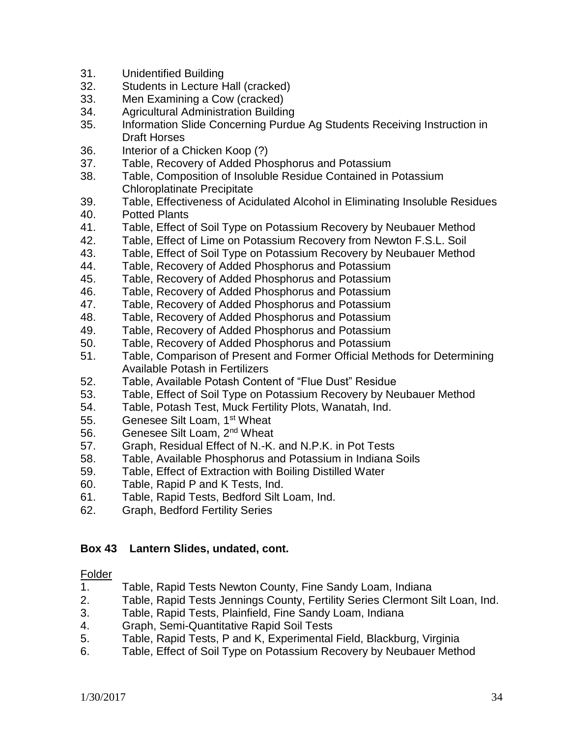- 31. Unidentified Building
- 32. Students in Lecture Hall (cracked)
- 33. Men Examining a Cow (cracked)
- 34. Agricultural Administration Building
- 35. Information Slide Concerning Purdue Ag Students Receiving Instruction in Draft Horses
- 36. Interior of a Chicken Koop (?)
- 37. Table, Recovery of Added Phosphorus and Potassium
- 38. Table, Composition of Insoluble Residue Contained in Potassium Chloroplatinate Precipitate
- 39. Table, Effectiveness of Acidulated Alcohol in Eliminating Insoluble Residues
- 40. Potted Plants
- 41. Table, Effect of Soil Type on Potassium Recovery by Neubauer Method
- 42. Table, Effect of Lime on Potassium Recovery from Newton F.S.L. Soil
- 43. Table, Effect of Soil Type on Potassium Recovery by Neubauer Method
- 44. Table, Recovery of Added Phosphorus and Potassium
- 45. Table, Recovery of Added Phosphorus and Potassium
- 46. Table, Recovery of Added Phosphorus and Potassium
- 47. Table, Recovery of Added Phosphorus and Potassium
- 48. Table, Recovery of Added Phosphorus and Potassium
- 49. Table, Recovery of Added Phosphorus and Potassium
- 50. Table, Recovery of Added Phosphorus and Potassium
- 51. Table, Comparison of Present and Former Official Methods for Determining Available Potash in Fertilizers
- 52. Table, Available Potash Content of "Flue Dust" Residue
- 53. Table, Effect of Soil Type on Potassium Recovery by Neubauer Method
- 54. Table, Potash Test, Muck Fertility Plots, Wanatah, Ind.
- 55. Genesee Silt Loam, 1<sup>st</sup> Wheat
- 56. Genesee Silt Loam, 2<sup>nd</sup> Wheat
- 57. Graph, Residual Effect of N.-K. and N.P.K. in Pot Tests
- 58. Table, Available Phosphorus and Potassium in Indiana Soils
- 59. Table, Effect of Extraction with Boiling Distilled Water
- 60. Table, Rapid P and K Tests, Ind.
- 61. Table, Rapid Tests, Bedford Silt Loam, Ind.
- 62. Graph, Bedford Fertility Series

# **Box 43 Lantern Slides, undated, cont.**

- 1. Table, Rapid Tests Newton County, Fine Sandy Loam, Indiana
- 2. Table, Rapid Tests Jennings County, Fertility Series Clermont Silt Loan, Ind.
- 3. Table, Rapid Tests, Plainfield, Fine Sandy Loam, Indiana
- 4. Graph, Semi-Quantitative Rapid Soil Tests
- 5. Table, Rapid Tests, P and K, Experimental Field, Blackburg, Virginia
- 6. Table, Effect of Soil Type on Potassium Recovery by Neubauer Method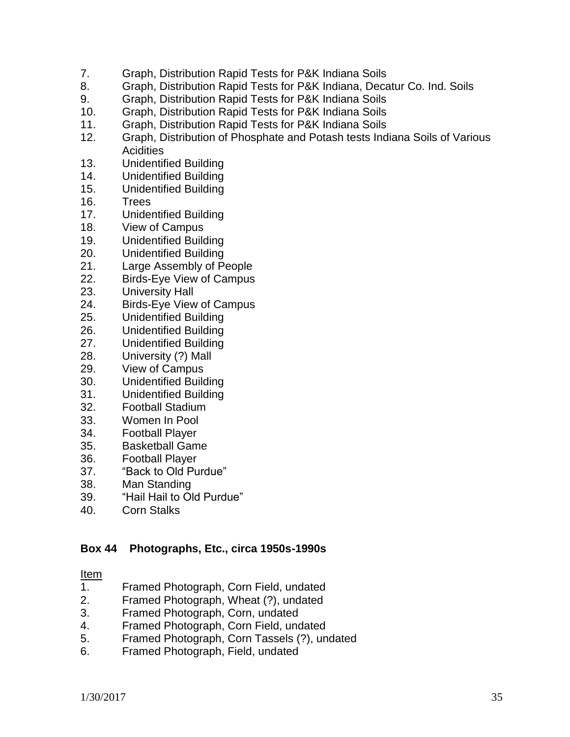- 7. Graph, Distribution Rapid Tests for P&K Indiana Soils
- 8. Graph, Distribution Rapid Tests for P&K Indiana, Decatur Co. Ind. Soils
- 9. Graph, Distribution Rapid Tests for P&K Indiana Soils
- 10. Graph, Distribution Rapid Tests for P&K Indiana Soils
- 11. Graph, Distribution Rapid Tests for P&K Indiana Soils
- 12. Graph, Distribution of Phosphate and Potash tests Indiana Soils of Various **Acidities**
- 13. Unidentified Building
- 14. Unidentified Building
- 15. Unidentified Building
- 16. Trees
- 17. Unidentified Building
- 18. View of Campus
- 19. Unidentified Building
- 20. Unidentified Building
- 21. Large Assembly of People
- 22. Birds-Eye View of Campus
- 23. University Hall
- 24. Birds-Eye View of Campus
- 25. Unidentified Building
- 26. Unidentified Building
- 27. Unidentified Building
- 28. University (?) Mall
- 29. View of Campus
- 30. Unidentified Building
- 31. Unidentified Building
- 32. Football Stadium
- 33. Women In Pool
- 34. Football Player
- 35. Basketball Game
- 36. Football Player
- 37. "Back to Old Purdue"
- 38. Man Standing
- 39. "Hail Hail to Old Purdue"
- 40. Corn Stalks

#### **Box 44 Photographs, Etc., circa 1950s-1990s**

#### Item

- 1. Framed Photograph, Corn Field, undated
- 2. Framed Photograph, Wheat (?), undated
- 3. Framed Photograph, Corn, undated
- 4. Framed Photograph, Corn Field, undated
- 5. Framed Photograph, Corn Tassels (?), undated
- 6. Framed Photograph, Field, undated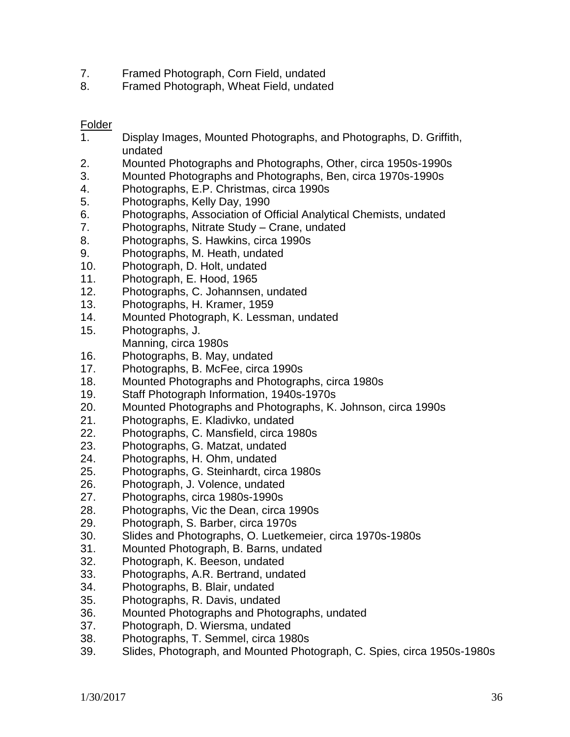- 7. Framed Photograph, Corn Field, undated
- 8. Framed Photograph, Wheat Field, undated

- 1. Display Images, Mounted Photographs, and Photographs, D. Griffith, undated
- 2. Mounted Photographs and Photographs, Other, circa 1950s-1990s
- 3. Mounted Photographs and Photographs, Ben, circa 1970s-1990s
- 4. Photographs, E.P. Christmas, circa 1990s
- 5. Photographs, Kelly Day, 1990
- 6. Photographs, Association of Official Analytical Chemists, undated
- 7. Photographs, Nitrate Study Crane, undated
- 8. Photographs, S. Hawkins, circa 1990s
- 9. Photographs, M. Heath, undated
- 10. Photograph, D. Holt, undated
- 11. Photograph, E. Hood, 1965
- 12. Photographs, C. Johannsen, undated
- 13. Photographs, H. Kramer, 1959
- 14. Mounted Photograph, K. Lessman, undated
- 15. Photographs, J. Manning, circa 1980s
- 16. Photographs, B. May, undated
- 17. Photographs, B. McFee, circa 1990s
- 18. Mounted Photographs and Photographs, circa 1980s
- 19. Staff Photograph Information, 1940s-1970s
- 20. Mounted Photographs and Photographs, K. Johnson, circa 1990s
- 21. Photographs, E. Kladivko, undated
- 22. Photographs, C. Mansfield, circa 1980s
- 23. Photographs, G. Matzat, undated
- 24. Photographs, H. Ohm, undated
- 25. Photographs, G. Steinhardt, circa 1980s
- 26. Photograph, J. Volence, undated
- 27. Photographs, circa 1980s-1990s
- 28. Photographs, Vic the Dean, circa 1990s
- 29. Photograph, S. Barber, circa 1970s
- 30. Slides and Photographs, O. Luetkemeier, circa 1970s-1980s
- 31. Mounted Photograph, B. Barns, undated
- 32. Photograph, K. Beeson, undated
- 33. Photographs, A.R. Bertrand, undated
- 34. Photographs, B. Blair, undated
- 35. Photographs, R. Davis, undated
- 36. Mounted Photographs and Photographs, undated
- 37. Photograph, D. Wiersma, undated
- 38. Photographs, T. Semmel, circa 1980s
- 39. Slides, Photograph, and Mounted Photograph, C. Spies, circa 1950s-1980s